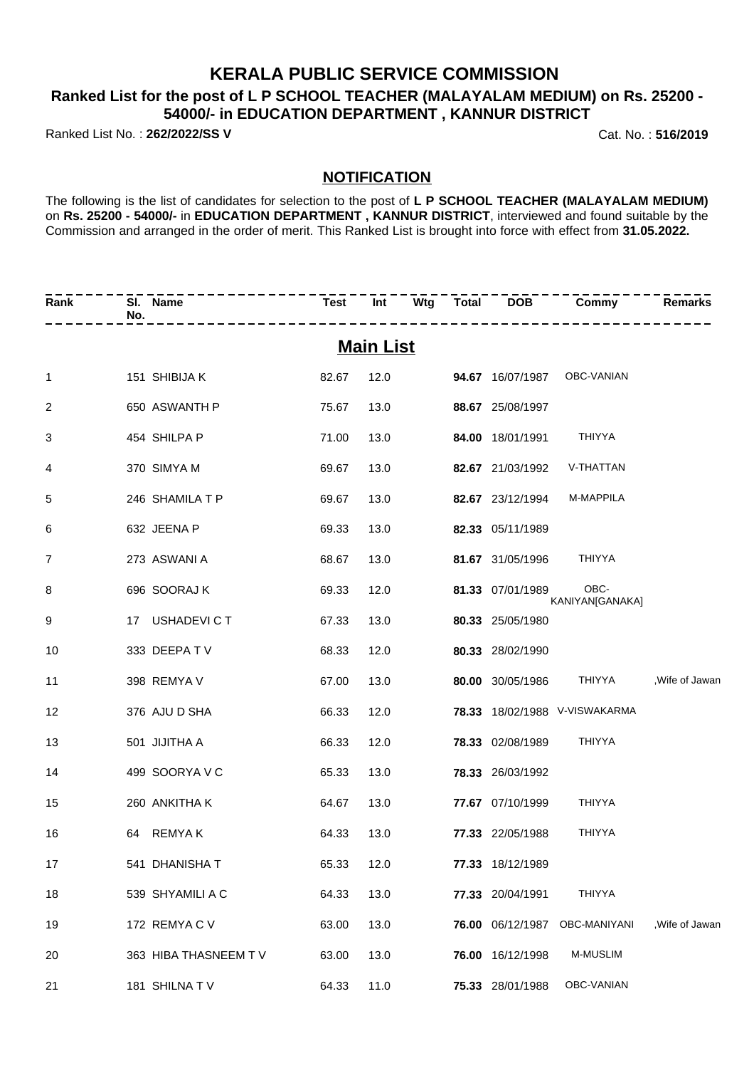### **KERALA PUBLIC SERVICE COMMISSION**

### **Ranked List for the post of L P SCHOOL TEACHER (MALAYALAM MEDIUM) on Rs. 25200 - 54000/- in EDUCATION DEPARTMENT , KANNUR DISTRICT**

Ranked List No. : **262/2022/SS V** Cat. No. : **516/2019**

#### **NOTIFICATION**

The following is the list of candidates for selection to the post of **L P SCHOOL TEACHER (MALAYALAM MEDIUM)** on **Rs. 25200 - 54000/-** in **EDUCATION DEPARTMENT , KANNUR DISTRICT**, interviewed and found suitable by the Commission and arranged in the order of merit. This Ranked List is brought into force with effect from **31.05.2022.**

| Rank              | No. | SI. Name             |       |      |  |  |                  | Test Int Wtg Total DOB Commy  | <b>Remarks</b>  |
|-------------------|-----|----------------------|-------|------|--|--|------------------|-------------------------------|-----------------|
| <u>Main List</u>  |     |                      |       |      |  |  |                  |                               |                 |
| $\mathbf{1}$      |     | 151 SHIBIJA K        | 82.67 | 12.0 |  |  |                  | 94.67 16/07/1987 OBC-VANIAN   |                 |
| $\overline{2}$    |     | 650 ASWANTH P        | 75.67 | 13.0 |  |  | 88.67 25/08/1997 |                               |                 |
| 3                 |     | 454 SHILPA P         | 71.00 | 13.0 |  |  | 84.00 18/01/1991 | THIYYA                        |                 |
| 4                 |     | 370 SIMYA M          | 69.67 | 13.0 |  |  | 82.67 21/03/1992 | V-THATTAN                     |                 |
| 5                 |     | 246 SHAMILA T P      | 69.67 | 13.0 |  |  | 82.67 23/12/1994 | M-MAPPILA                     |                 |
| 6                 |     | 632 JEENA P          | 69.33 | 13.0 |  |  | 82.33 05/11/1989 |                               |                 |
| 7                 |     | 273 ASWANI A         | 68.67 | 13.0 |  |  | 81.67 31/05/1996 | THIYYA                        |                 |
| 8                 |     | 696 SOORAJ K         | 69.33 | 12.0 |  |  | 81.33 07/01/1989 | OBC-<br>KANIYAN[GANAKA]       |                 |
| 9                 |     | 17 USHADEVICT        | 67.33 | 13.0 |  |  | 80.33 25/05/1980 |                               |                 |
| 10                |     | 333 DEEPATV          | 68.33 | 12.0 |  |  | 80.33 28/02/1990 |                               |                 |
| 11                |     | 398 REMYA V          | 67.00 | 13.0 |  |  |                  | 80.00 30/05/1986 THIYYA       | , Wife of Jawan |
| $12 \overline{ }$ |     | 376 AJU D SHA        | 66.33 | 12.0 |  |  |                  | 78.33 18/02/1988 V-VISWAKARMA |                 |
| 13                |     | 501 JIJITHA A        | 66.33 | 12.0 |  |  | 78.33 02/08/1989 | THIYYA                        |                 |
| 14                |     | 499 SOORYA V C       | 65.33 | 13.0 |  |  | 78.33 26/03/1992 |                               |                 |
| 15                |     | 260 ANKITHA K        | 64.67 | 13.0 |  |  | 77.67 07/10/1999 | THIYYA                        |                 |
| 16                |     | 64 REMYAK            | 64.33 | 13.0 |  |  | 77.33 22/05/1988 | <b>THIYYA</b>                 |                 |
| 17                |     | 541 DHANISHA T       | 65.33 | 12.0 |  |  | 77.33 18/12/1989 |                               |                 |
| 18                |     | 539 SHYAMILI A C     | 64.33 | 13.0 |  |  | 77.33 20/04/1991 | <b>THIYYA</b>                 |                 |
| 19                |     | 172 REMYACV          | 63.00 | 13.0 |  |  | 76.00 06/12/1987 | OBC-MANIYANI                  | .Wife of Jawan  |
| 20                |     | 363 HIBA THASNEEM TV | 63.00 | 13.0 |  |  | 76.00 16/12/1998 | M-MUSLIM                      |                 |
| 21                |     | 181 SHILNATV         | 64.33 | 11.0 |  |  | 75.33 28/01/1988 | OBC-VANIAN                    |                 |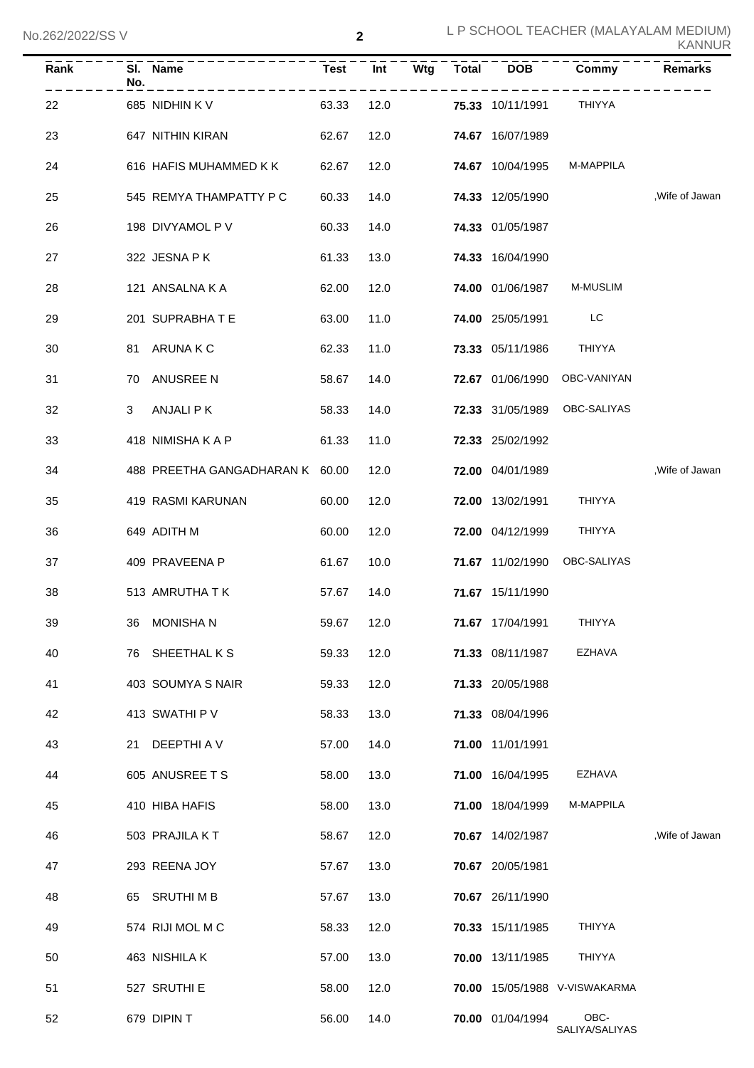| Rank | No. | SI. Name                        | <b>Test</b> | Int  | Wtg | <b>Total</b> | <b>DOB</b>              | Commy                         | <b>Remarks</b> |
|------|-----|---------------------------------|-------------|------|-----|--------------|-------------------------|-------------------------------|----------------|
| 22   |     | 685 NIDHIN K V                  | 63.33       | 12.0 |     |              | <b>75.33</b> 10/11/1991 | THIYYA                        |                |
| 23   |     | 647 NITHIN KIRAN                | 62.67       | 12.0 |     |              | <b>74.67</b> 16/07/1989 |                               |                |
| 24   |     | 616 HAFIS MUHAMMED K K          | 62.67       | 12.0 |     |              | <b>74.67</b> 10/04/1995 | M-MAPPILA                     |                |
| 25   |     | 545 REMYA THAMPATTY P C         | 60.33       | 14.0 |     |              | <b>74.33</b> 12/05/1990 |                               | ,Wife of Jawan |
| 26   |     | 198 DIVYAMOL P V                | 60.33       | 14.0 |     |              | 74.33 01/05/1987        |                               |                |
| 27   |     | 322 JESNA P K                   | 61.33       | 13.0 |     |              | 74.33 16/04/1990        |                               |                |
| 28   |     | 121 ANSALNA K A                 | 62.00       | 12.0 |     |              | <b>74.00 01/06/1987</b> | M-MUSLIM                      |                |
| 29   |     | 201 SUPRABHATE                  | 63.00       | 11.0 |     |              | <b>74.00 25/05/1991</b> | <b>LC</b>                     |                |
| 30   |     | 81 ARUNAKC                      | 62.33       | 11.0 |     |              | 73.33 05/11/1986        | <b>THIYYA</b>                 |                |
| 31   | 70  | ANUSREE N                       | 58.67       | 14.0 |     |              | <b>72.67</b> 01/06/1990 | OBC-VANIYAN                   |                |
| 32   | 3   | ANJALI P K                      | 58.33       | 14.0 |     |              |                         | 72.33 31/05/1989 OBC-SALIYAS  |                |
| 33   |     | 418 NIMISHA K A P               | 61.33       | 11.0 |     |              | 72.33 25/02/1992        |                               |                |
| 34   |     | 488 PREETHA GANGADHARAN K 60.00 |             | 12.0 |     |              | <b>72.00</b> 04/01/1989 |                               | ,Wife of Jawan |
| 35   |     | 419 RASMI KARUNAN               | 60.00       | 12.0 |     |              | <b>72.00</b> 13/02/1991 | THIYYA                        |                |
| 36   |     | 649 ADITH M                     | 60.00       | 12.0 |     |              | <b>72.00</b> 04/12/1999 | THIYYA                        |                |
| 37   |     | 409 PRAVEENA P                  | 61.67       | 10.0 |     |              |                         | 71.67 11/02/1990 OBC-SALIYAS  |                |
| 38   |     | 513 AMRUTHA T K                 | 57.67       | 14.0 |     |              | 71.67 15/11/1990        |                               |                |
| 39   |     | 36 MONISHAN                     | 59.67       | 12.0 |     |              | 71.67 17/04/1991        | <b>THIYYA</b>                 |                |
| 40   |     | 76 SHEETHAL K S                 | 59.33       | 12.0 |     |              | 71.33 08/11/1987        | <b>EZHAVA</b>                 |                |
| 41   |     | 403 SOUMYA S NAIR               | 59.33       | 12.0 |     |              | 71.33 20/05/1988        |                               |                |
| 42   |     | 413 SWATHI P V                  | 58.33       | 13.0 |     |              | 71.33 08/04/1996        |                               |                |
| 43   |     | 21 DEEPTHI A V                  | 57.00       | 14.0 |     |              | 71.00 11/01/1991        |                               |                |
| 44   |     | 605 ANUSREE T S                 | 58.00       | 13.0 |     |              | 71.00 16/04/1995        | EZHAVA                        |                |
| 45   |     | 410 HIBA HAFIS                  | 58.00       | 13.0 |     |              | 71.00 18/04/1999        | M-MAPPILA                     |                |
| 46   |     | 503 PRAJILA KT                  | 58.67       | 12.0 |     |              | 70.67 14/02/1987        |                               | Wife of Jawan  |
| 47   |     | 293 REENA JOY                   | 57.67       | 13.0 |     |              | 70.67 20/05/1981        |                               |                |
| 48   |     | 65 SRUTHIMB                     | 57.67       | 13.0 |     |              | 70.67 26/11/1990        |                               |                |
| 49   |     | 574 RIJI MOL M C                | 58.33       | 12.0 |     |              | 70.33 15/11/1985        | <b>THIYYA</b>                 |                |
| 50   |     | 463 NISHILA K                   | 57.00       | 13.0 |     |              | 70.00 13/11/1985        | THIYYA                        |                |
| 51   |     | 527 SRUTHI E                    | 58.00       | 12.0 |     |              |                         | 70.00 15/05/1988 V-VISWAKARMA |                |
| 52   |     | 679 DIPIN T                     | 56.00       | 14.0 |     |              | 70.00 01/04/1994        | OBC-<br>SALIYA/SALIYAS        |                |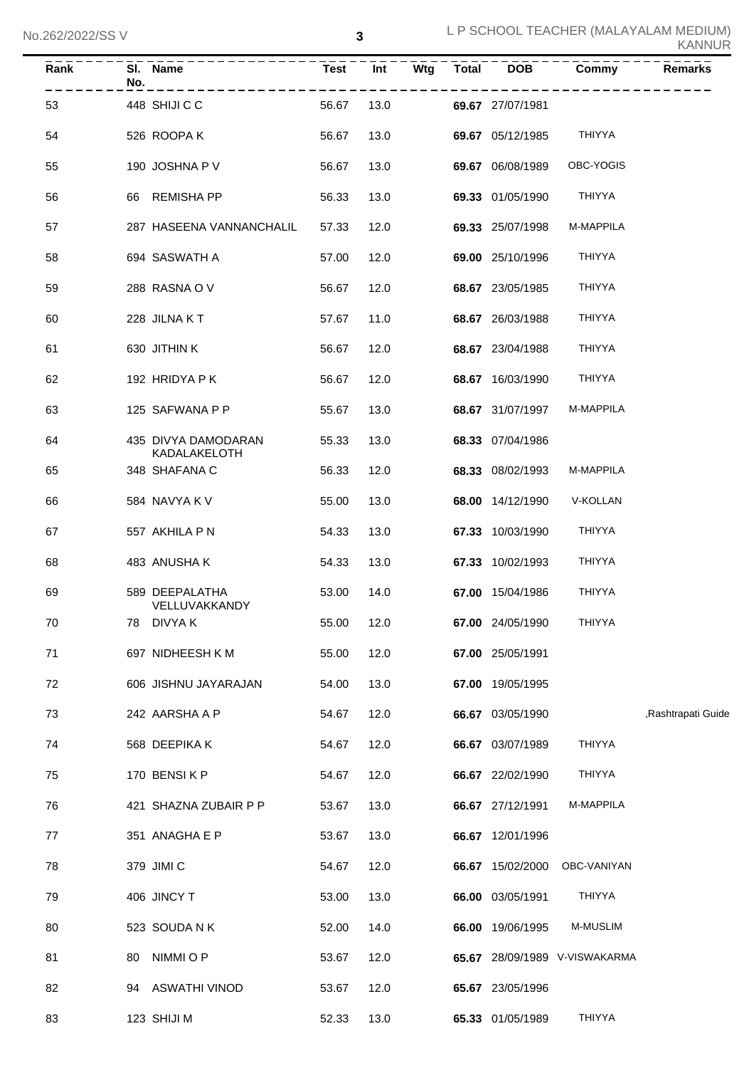| Rank | SI.<br><b>Name</b><br>No.           | <b>Test</b> | Wtg<br>Int | Total | <b>DOB</b>       | Commy                         | Remarks            |
|------|-------------------------------------|-------------|------------|-------|------------------|-------------------------------|--------------------|
| 53   | 448 SHIJI C C                       | 56.67       | 13.0       |       | 69.67 27/07/1981 |                               |                    |
| 54   | 526 ROOPA K                         | 56.67       | 13.0       |       | 69.67 05/12/1985 | THIYYA                        |                    |
| 55   | 190 JOSHNA P V                      | 56.67       | 13.0       |       | 69.67 06/08/1989 | OBC-YOGIS                     |                    |
| 56   | REMISHA PP<br>66.                   | 56.33       | 13.0       |       | 69.33 01/05/1990 | <b>THIYYA</b>                 |                    |
| 57   | 287 HASEENA VANNANCHALIL            | 57.33       | 12.0       |       | 69.33 25/07/1998 | M-MAPPILA                     |                    |
| 58   | 694 SASWATH A                       | 57.00       | 12.0       |       | 69.00 25/10/1996 | <b>THIYYA</b>                 |                    |
| 59   | 288 RASNA OV                        | 56.67       | 12.0       |       | 68.67 23/05/1985 | THIYYA                        |                    |
| 60   | 228 JILNA KT                        | 57.67       | 11.0       |       | 68.67 26/03/1988 | <b>THIYYA</b>                 |                    |
| 61   | 630 JITHIN K                        | 56.67       | 12.0       |       | 68.67 23/04/1988 | <b>THIYYA</b>                 |                    |
| 62   | 192 HRIDYA P K                      | 56.67       | 12.0       |       | 68.67 16/03/1990 | <b>THIYYA</b>                 |                    |
| 63   | 125 SAFWANA P P                     | 55.67       | 13.0       |       | 68.67 31/07/1997 | M-MAPPILA                     |                    |
| 64   | 435 DIVYA DAMODARAN<br>KADALAKELOTH | 55.33       | 13.0       |       | 68.33 07/04/1986 |                               |                    |
| 65   | 348 SHAFANA C                       | 56.33       | 12.0       |       | 68.33 08/02/1993 | M-MAPPILA                     |                    |
| 66   | 584 NAVYA K V                       | 55.00       | 13.0       |       | 68.00 14/12/1990 | V-KOLLAN                      |                    |
| 67   | 557 AKHILA P N                      | 54.33       | 13.0       |       | 67.33 10/03/1990 | <b>THIYYA</b>                 |                    |
| 68   | 483 ANUSHA K                        | 54.33       | 13.0       |       | 67.33 10/02/1993 | <b>THIYYA</b>                 |                    |
| 69   | 589 DEEPALATHA<br>VELLUVAKKANDY     | 53.00       | 14.0       |       | 67.00 15/04/1986 | <b>THIYYA</b>                 |                    |
| 70   | 78 DIVYA K                          | 55.00       | 12.0       |       | 67.00 24/05/1990 | <b>THIYYA</b>                 |                    |
| 71   | 697 NIDHEESH K M                    | 55.00       | 12.0       |       | 67.00 25/05/1991 |                               |                    |
| 72   | 606 JISHNU JAYARAJAN                | 54.00       | 13.0       |       | 67.00 19/05/1995 |                               |                    |
| 73   | 242 AARSHA A P                      | 54.67       | 12.0       |       | 66.67 03/05/1990 |                               | ,Rashtrapati Guide |
| 74   | 568 DEEPIKA K                       | 54.67       | 12.0       |       | 66.67 03/07/1989 | THIYYA                        |                    |
| 75   | 170 BENSIKP                         | 54.67       | 12.0       |       | 66.67 22/02/1990 | <b>THIYYA</b>                 |                    |
| 76   | 421 SHAZNA ZUBAIR P P               | 53.67       | 13.0       |       | 66.67 27/12/1991 | M-MAPPILA                     |                    |
| 77   | 351 ANAGHA E P                      | 53.67       | 13.0       |       | 66.67 12/01/1996 |                               |                    |
| 78   | 379 JIMI C                          | 54.67       | 12.0       |       | 66.67 15/02/2000 | OBC-VANIYAN                   |                    |
| 79   | 406 JINCY T                         | 53.00       | 13.0       |       | 66.00 03/05/1991 | THIYYA                        |                    |
| 80   | 523 SOUDANK                         | 52.00       | 14.0       |       | 66.00 19/06/1995 | M-MUSLIM                      |                    |
| 81   | NIMMI O P<br>80                     | 53.67       | 12.0       |       |                  | 65.67 28/09/1989 V-VISWAKARMA |                    |
| 82   | 94 ASWATHI VINOD                    | 53.67       | 12.0       |       | 65.67 23/05/1996 |                               |                    |
| 83   | 123 SHIJI M                         | 52.33       | 13.0       |       | 65.33 01/05/1989 | THIYYA                        |                    |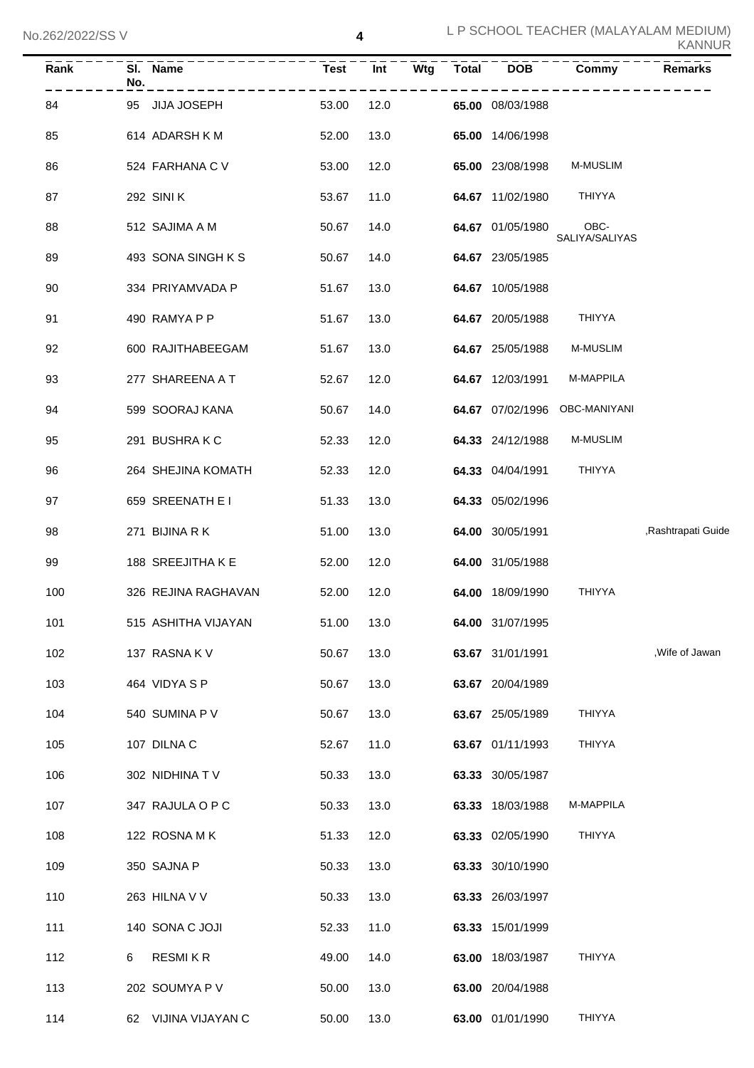| Rank | No. | SI. Name            | <b>Test</b> | Wtg<br>Int | <b>Total</b> | <b>DOB</b>       | Commy                  | <b>Remarks</b>     |
|------|-----|---------------------|-------------|------------|--------------|------------------|------------------------|--------------------|
| 84   | 95  | <b>JIJA JOSEPH</b>  | 53.00       | 12.0       |              | 65.00 08/03/1988 |                        |                    |
| 85   |     | 614 ADARSH KM       | 52.00       | 13.0       |              | 65.00 14/06/1998 |                        |                    |
| 86   |     | 524 FARHANA C V     | 53.00       | 12.0       |              | 65.00 23/08/1998 | M-MUSLIM               |                    |
| 87   |     | 292 SINI K          | 53.67       | 11.0       |              | 64.67 11/02/1980 | <b>THIYYA</b>          |                    |
| 88   |     | 512 SAJIMA A M      | 50.67       | 14.0       |              | 64.67 01/05/1980 | OBC-<br>SALIYA/SALIYAS |                    |
| 89   |     | 493 SONA SINGH K S  | 50.67       | 14.0       |              | 64.67 23/05/1985 |                        |                    |
| 90   |     | 334 PRIYAMVADA P    | 51.67       | 13.0       |              | 64.67 10/05/1988 |                        |                    |
| 91   |     | 490 RAMYA P P       | 51.67       | 13.0       |              | 64.67 20/05/1988 | THIYYA                 |                    |
| 92   |     | 600 RAJITHABEEGAM   | 51.67       | 13.0       |              | 64.67 25/05/1988 | M-MUSLIM               |                    |
| 93   |     | 277 SHAREENA A T    | 52.67       | 12.0       |              | 64.67 12/03/1991 | M-MAPPILA              |                    |
| 94   |     | 599 SOORAJ KANA     | 50.67       | 14.0       |              | 64.67 07/02/1996 | OBC-MANIYANI           |                    |
| 95   |     | 291 BUSHRAKC        | 52.33       | 12.0       |              | 64.33 24/12/1988 | M-MUSLIM               |                    |
| 96   |     | 264 SHEJINA KOMATH  | 52.33       | 12.0       |              | 64.33 04/04/1991 | THIYYA                 |                    |
| 97   |     | 659 SREENATH E I    | 51.33       | 13.0       |              | 64.33 05/02/1996 |                        |                    |
| 98   |     | 271 BIJINA R K      | 51.00       | 13.0       |              | 64.00 30/05/1991 |                        | ,Rashtrapati Guide |
| 99   |     | 188 SREEJITHA K E   | 52.00       | 12.0       |              | 64.00 31/05/1988 |                        |                    |
| 100  |     | 326 REJINA RAGHAVAN | 52.00       | 12.0       |              | 64.00 18/09/1990 | <b>THIYYA</b>          |                    |
| 101  |     | 515 ASHITHA VIJAYAN | 51.00       | 13.0       |              | 64.00 31/07/1995 |                        |                    |
| 102  |     | 137 RASNAK V        | 50.67       | 13.0       |              | 63.67 31/01/1991 |                        | , Wife of Jawan    |
| 103  |     | 464 VIDYA S P       | 50.67       | 13.0       |              | 63.67 20/04/1989 |                        |                    |
| 104  |     | 540 SUMINA P V      | 50.67       | 13.0       |              | 63.67 25/05/1989 | THIYYA                 |                    |
| 105  |     | 107 DILNA C         | 52.67       | 11.0       |              | 63.67 01/11/1993 | <b>THIYYA</b>          |                    |
| 106  |     | 302 NIDHINA TV      | 50.33       | 13.0       |              | 63.33 30/05/1987 |                        |                    |
| 107  |     | 347 RAJULA O P C    | 50.33       | 13.0       |              | 63.33 18/03/1988 | M-MAPPILA              |                    |
| 108  |     | 122 ROSNA MK        | 51.33       | 12.0       |              | 63.33 02/05/1990 | THIYYA                 |                    |
| 109  |     | 350 SAJNA P         | 50.33       | 13.0       |              | 63.33 30/10/1990 |                        |                    |
| 110  |     | 263 HILNA V V       | 50.33       | 13.0       |              | 63.33 26/03/1997 |                        |                    |
| 111  |     | 140 SONA C JOJI     | 52.33       | 11.0       |              | 63.33 15/01/1999 |                        |                    |
| 112  | 6   | <b>RESMIKR</b>      | 49.00       | 14.0       |              | 63.00 18/03/1987 | THIYYA                 |                    |
| 113  |     | 202 SOUMYA P V      | 50.00       | 13.0       |              | 63.00 20/04/1988 |                        |                    |
| 114  | 62  | VIJINA VIJAYAN C    | 50.00       | 13.0       |              | 63.00 01/01/1990 | THIYYA                 |                    |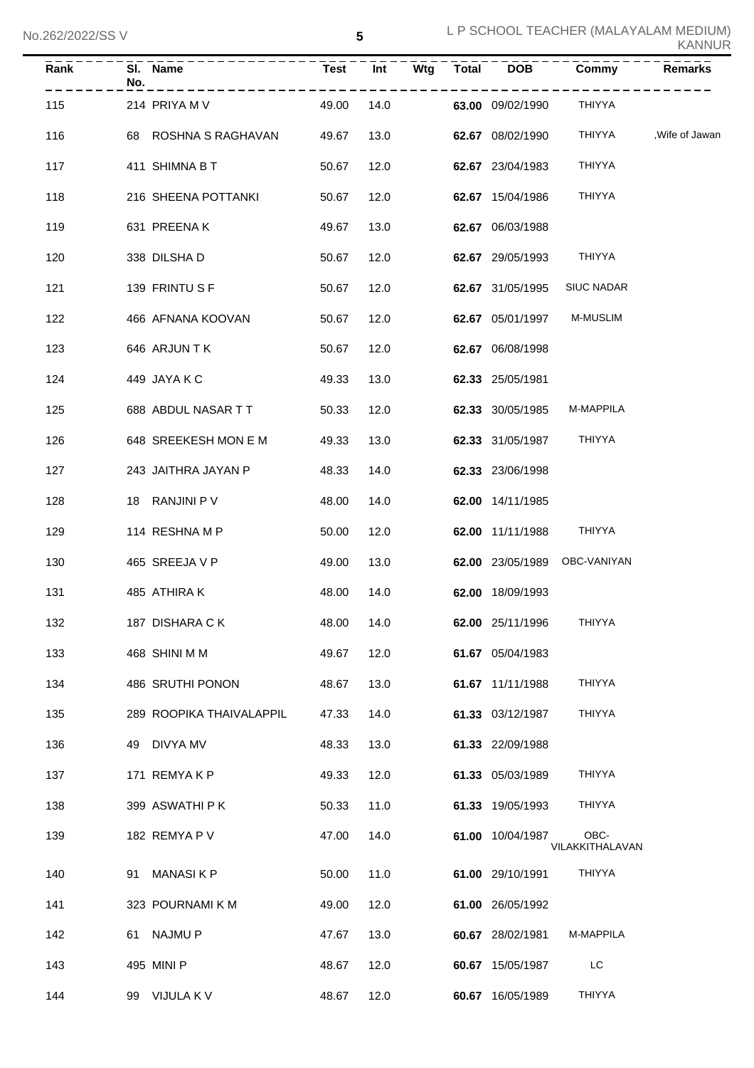| Rank | No. | SI. Name                 | <b>Test</b> | Int  | Wtg | <b>Total</b> | <b>DOB</b>       | Commy                        | Remarks |
|------|-----|--------------------------|-------------|------|-----|--------------|------------------|------------------------------|---------|
| 115  |     | 214 PRIYA M V            | 49.00       | 14.0 |     |              | 63.00 09/02/1990 | THIYYA                       |         |
| 116  |     | 68 ROSHNA S RAGHAVAN     | 49.67       | 13.0 |     |              | 62.67 08/02/1990 | THIYYA ,Wife of Jawan        |         |
| 117  |     | 411 SHIMNA B T           | 50.67       | 12.0 |     |              | 62.67 23/04/1983 | THIYYA                       |         |
| 118  |     | 216 SHEENA POTTANKI      | 50.67       | 12.0 |     |              | 62.67 15/04/1986 | THIYYA                       |         |
| 119  |     | 631 PREENAK              | 49.67       | 13.0 |     |              | 62.67 06/03/1988 |                              |         |
| 120  |     | 338 DILSHA D             | 50.67       | 12.0 |     |              | 62.67 29/05/1993 | THIYYA                       |         |
| 121  |     | 139 FRINTUSF             | 50.67       | 12.0 |     |              | 62.67 31/05/1995 | <b>SIUC NADAR</b>            |         |
| 122  |     | 466 AFNANA KOOVAN        | 50.67       | 12.0 |     |              | 62.67 05/01/1997 | <b>M-MUSLIM</b>              |         |
| 123  |     | 646 ARJUN T K            | 50.67       | 12.0 |     |              | 62.67 06/08/1998 |                              |         |
| 124  |     | 449 JAYA K C             | 49.33       | 13.0 |     |              | 62.33 25/05/1981 |                              |         |
| 125  |     | 688 ABDUL NASAR T T      | 50.33       | 12.0 |     |              | 62.33 30/05/1985 | M-MAPPILA                    |         |
| 126  |     | 648 SREEKESH MON E M     | 49.33       | 13.0 |     |              | 62.33 31/05/1987 | THIYYA                       |         |
| 127  |     | 243 JAITHRA JAYAN P      | 48.33       | 14.0 |     |              | 62.33 23/06/1998 |                              |         |
| 128  |     | 18 RANJINI P V           | 48.00       | 14.0 |     |              | 62.00 14/11/1985 |                              |         |
| 129  |     | 114 RESHNA M P           | 50.00       | 12.0 |     |              | 62.00 11/11/1988 | THIYYA                       |         |
| 130  |     | 465 SREEJA V P           | 49.00       | 13.0 |     |              |                  | 62.00 23/05/1989 OBC-VANIYAN |         |
| 131  |     | 485 ATHIRA K             | 48.00       | 14.0 |     |              | 62.00 18/09/1993 |                              |         |
| 132  |     | 187 DISHARA CK           | 48.00 14.0  |      |     |              | 62.00 25/11/1996 | THIYYA                       |         |
| 133  |     | 468 SHINI M M            | 49.67       | 12.0 |     |              | 61.67 05/04/1983 |                              |         |
| 134  |     | 486 SRUTHI PONON         | 48.67       | 13.0 |     |              | 61.67 11/11/1988 | THIYYA                       |         |
| 135  |     | 289 ROOPIKA THAIVALAPPIL | 47.33       | 14.0 |     |              | 61.33 03/12/1987 | <b>THIYYA</b>                |         |
| 136  |     | 49 DIVYA MV              | 48.33       | 13.0 |     |              | 61.33 22/09/1988 |                              |         |
| 137  |     | 171 REMYAKP              | 49.33       | 12.0 |     |              | 61.33 05/03/1989 | <b>THIYYA</b>                |         |
| 138  |     | 399 ASWATHI P K          | 50.33       | 11.0 |     |              | 61.33 19/05/1993 | <b>THIYYA</b>                |         |
| 139  |     | 182 REMYA P V            | 47.00       | 14.0 |     |              | 61.00 10/04/1987 | OBC-<br>VILAKKITHALAVAN      |         |
| 140  |     | 91 MANASIKP              | 50.00       | 11.0 |     |              | 61.00 29/10/1991 | THIYYA                       |         |
| 141  |     | 323 POURNAMI K M         | 49.00       | 12.0 |     |              | 61.00 26/05/1992 |                              |         |
| 142  |     | 61 NAJMU P               | 47.67       | 13.0 |     |              | 60.67 28/02/1981 | M-MAPPILA                    |         |
| 143  |     | 495 MINI P               | 48.67       | 12.0 |     |              | 60.67 15/05/1987 | LC                           |         |
| 144  |     | 99 VIJULA K V            | 48.67       | 12.0 |     |              | 60.67 16/05/1989 | THIYYA                       |         |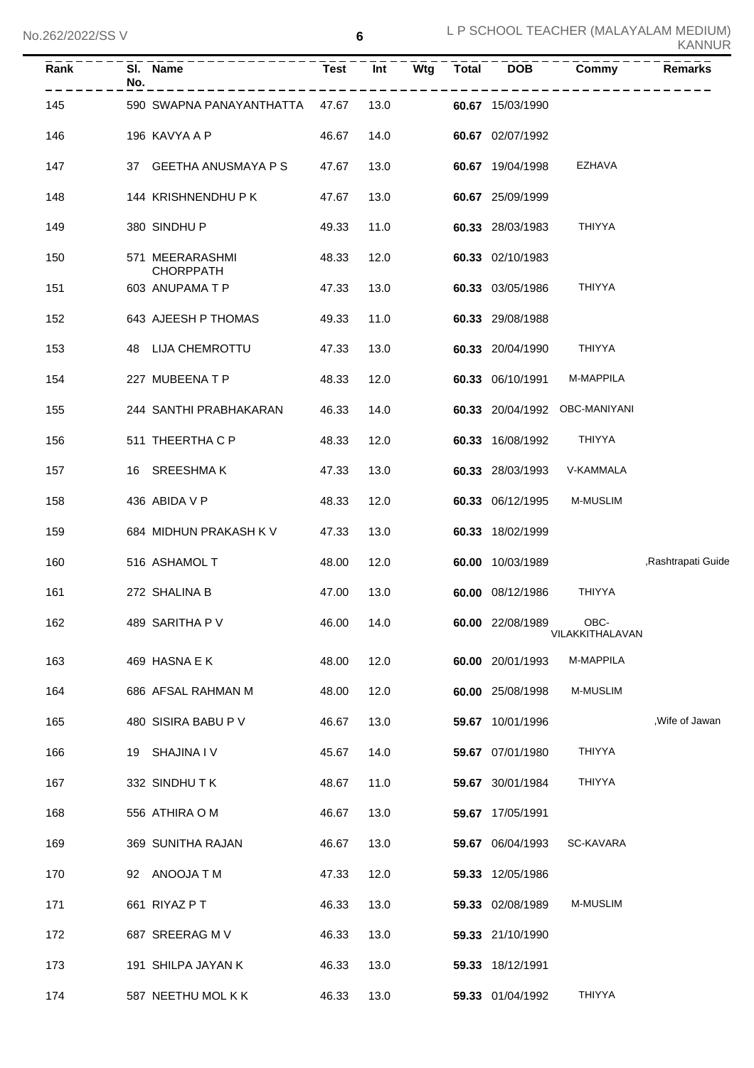| Rank | No. | SI. Name                            | <b>Test</b> | Int  | Wtg | <b>Total</b> | <b>DOB</b>       | Commy                         | <b>Remarks</b>     |
|------|-----|-------------------------------------|-------------|------|-----|--------------|------------------|-------------------------------|--------------------|
| 145  |     | 590 SWAPNA PANAYANTHATTA 47.67      |             | 13.0 |     |              | 60.67 15/03/1990 |                               |                    |
| 146  |     | 196 KAVYA A P                       | 46.67       | 14.0 |     |              | 60.67 02/07/1992 |                               |                    |
| 147  |     | 37 GEETHA ANUSMAYA P S              | 47.67       | 13.0 |     |              | 60.67 19/04/1998 | EZHAVA                        |                    |
| 148  |     | 144 KRISHNENDHU P K                 | 47.67       | 13.0 |     |              | 60.67 25/09/1999 |                               |                    |
| 149  |     | 380 SINDHU P                        | 49.33       | 11.0 |     |              | 60.33 28/03/1983 | <b>THIYYA</b>                 |                    |
| 150  |     | 571 MEERARASHMI<br><b>CHORPPATH</b> | 48.33       | 12.0 |     |              | 60.33 02/10/1983 |                               |                    |
| 151  |     | 603 ANUPAMA T P                     | 47.33       | 13.0 |     |              | 60.33 03/05/1986 | <b>THIYYA</b>                 |                    |
| 152  |     | 643 AJEESH P THOMAS                 | 49.33       | 11.0 |     |              | 60.33 29/08/1988 |                               |                    |
| 153  |     | 48 LIJA CHEMROTTU                   | 47.33       | 13.0 |     |              | 60.33 20/04/1990 | THIYYA                        |                    |
| 154  |     | 227 MUBEENA T P                     | 48.33       | 12.0 |     |              | 60.33 06/10/1991 | M-MAPPILA                     |                    |
| 155  |     | 244 SANTHI PRABHAKARAN              | 46.33       | 14.0 |     |              |                  | 60.33 20/04/1992 OBC-MANIYANI |                    |
| 156  |     | 511 THEERTHA C P                    | 48.33       | 12.0 |     |              | 60.33 16/08/1992 | THIYYA                        |                    |
| 157  |     | 16 SREESHMAK                        | 47.33       | 13.0 |     |              | 60.33 28/03/1993 | V-KAMMALA                     |                    |
| 158  |     | 436 ABIDA V P                       | 48.33       | 12.0 |     |              | 60.33 06/12/1995 | <b>M-MUSLIM</b>               |                    |
| 159  |     | 684 MIDHUN PRAKASH K V              | 47.33       | 13.0 |     |              | 60.33 18/02/1999 |                               |                    |
| 160  |     | 516 ASHAMOL T                       | 48.00       | 12.0 |     |              | 60.00 10/03/1989 |                               | ,Rashtrapati Guide |
| 161  |     | 272 SHALINA B                       | 47.00       | 13.0 |     |              | 60.00 08/12/1986 | THIYYA                        |                    |
| 162  |     | 489 SARITHA P V                     | 46.00 14.0  |      |     |              | 60.00 22/08/1989 | OBC-<br>VILAKKITHALAVAN       |                    |
| 163  |     | 469 HASNA E K                       | 48.00       | 12.0 |     |              | 60.00 20/01/1993 | M-MAPPILA                     |                    |
| 164  |     | 686 AFSAL RAHMAN M                  | 48.00       | 12.0 |     |              | 60.00 25/08/1998 | <b>M-MUSLIM</b>               |                    |
| 165  |     | 480 SISIRA BABU P V                 | 46.67       | 13.0 |     |              | 59.67 10/01/1996 |                               | , Wife of Jawan    |
| 166  |     | 19 SHAJINA I V                      | 45.67       | 14.0 |     |              | 59.67 07/01/1980 | THIYYA                        |                    |
| 167  |     | 332 SINDHUTK                        | 48.67       | 11.0 |     |              | 59.67 30/01/1984 | THIYYA                        |                    |
| 168  |     | 556 ATHIRA O M                      | 46.67       | 13.0 |     |              | 59.67 17/05/1991 |                               |                    |
| 169  |     | 369 SUNITHA RAJAN                   | 46.67       | 13.0 |     |              | 59.67 06/04/1993 | SC-KAVARA                     |                    |
| 170  |     | 92 ANOOJA T M                       | 47.33       | 12.0 |     |              | 59.33 12/05/1986 |                               |                    |
| 171  |     | 661 RIYAZ P T                       | 46.33       | 13.0 |     |              | 59.33 02/08/1989 | <b>M-MUSLIM</b>               |                    |
| 172  |     | 687 SREERAG M V                     | 46.33       | 13.0 |     |              | 59.33 21/10/1990 |                               |                    |
| 173  |     | 191 SHILPA JAYAN K                  | 46.33       | 13.0 |     |              | 59.33 18/12/1991 |                               |                    |
| 174  |     | 587 NEETHU MOL K K                  | 46.33       | 13.0 |     |              | 59.33 01/04/1992 | THIYYA                        |                    |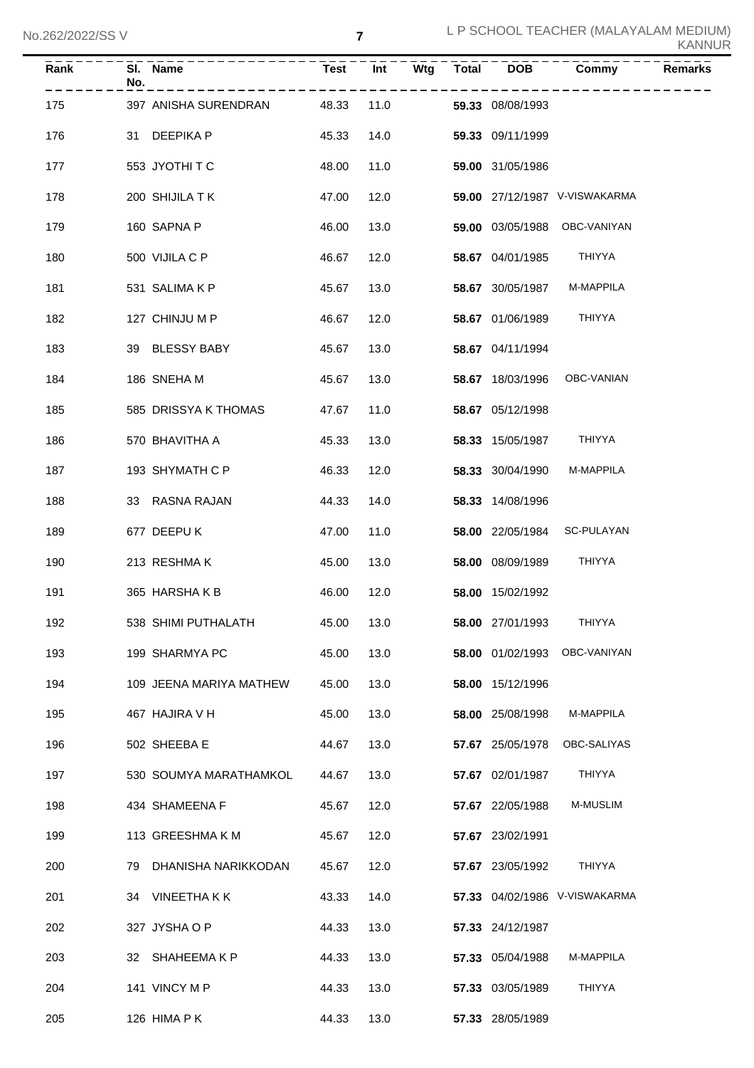| Rank | SI. Name<br>No.            |       |      |      |                         | Test Int Wtg Total DOB Commy  | <b>Remarks</b> |
|------|----------------------------|-------|------|------|-------------------------|-------------------------------|----------------|
| 175  | 397 ANISHA SURENDRAN 48.33 |       |      | 11.0 | 59.33 08/08/1993        |                               |                |
| 176  | 31 DEEPIKA P               | 45.33 |      | 14.0 | 59.33 09/11/1999        |                               |                |
| 177  | 553 JYOTHITC               | 48.00 | 11.0 |      | 59.00 31/05/1986        |                               |                |
| 178  | 200 SHIJILA TK             | 47.00 | 12.0 |      |                         | 59.00 27/12/1987 V-VISWAKARMA |                |
| 179  | 160 SAPNA P                | 46.00 | 13.0 |      |                         | 59.00 03/05/1988 OBC-VANIYAN  |                |
| 180  | 500 VIJILA C P             | 46.67 | 12.0 |      | 58.67 04/01/1985 THIYYA |                               |                |
| 181  | 531 SALIMA K P             | 45.67 | 13.0 |      | 58.67 30/05/1987        | M-MAPPILA                     |                |
| 182  | 127 CHINJU M P             | 46.67 | 12.0 |      | 58.67 01/06/1989        | THIYYA                        |                |
| 183  | 39 BLESSY BABY             | 45.67 | 13.0 |      | 58.67 04/11/1994        |                               |                |
| 184  | 186 SNEHA M                | 45.67 |      | 13.0 |                         | 58.67 18/03/1996 OBC-VANIAN   |                |
| 185  | 585 DRISSYA K THOMAS       | 47.67 |      | 11.0 | 58.67 05/12/1998        |                               |                |
| 186  | 570 BHAVITHA A             | 45.33 |      | 13.0 | 58.33 15/05/1987 THIYYA |                               |                |
| 187  | 193 SHYMATH C P            | 46.33 | 12.0 |      | 58.33 30/04/1990        | M-MAPPILA                     |                |
| 188  | 33 RASNA RAJAN             | 44.33 |      | 14.0 | 58.33 14/08/1996        |                               |                |
| 189  | 677 DEEPU K                | 47.00 |      | 11.0 |                         | 58.00 22/05/1984 SC-PULAYAN   |                |
| 190  | 213 RESHMAK                | 45.00 |      | 13.0 | 58.00 08/09/1989        | THIYYA                        |                |
| 191  | 365 HARSHAKB               | 46.00 | 12.0 |      | 58.00 15/02/1992        |                               |                |
| 192  | 538 SHIMI PUTHALATH        | 45.00 | 13.0 |      | 58.00 27/01/1993        | <b>THIYYA</b>                 |                |
| 193  | 199 SHARMYA PC             | 45.00 | 13.0 |      | 58.00 01/02/1993        | OBC-VANIYAN                   |                |
| 194  | 109 JEENA MARIYA MATHEW    | 45.00 | 13.0 |      | 58.00 15/12/1996        |                               |                |
| 195  | 467 HAJIRA V H             | 45.00 | 13.0 |      | 58.00 25/08/1998        | M-MAPPILA                     |                |
| 196  | 502 SHEEBA E               | 44.67 | 13.0 |      | 57.67 25/05/1978        | OBC-SALIYAS                   |                |
| 197  | 530 SOUMYA MARATHAMKOL     | 44.67 | 13.0 |      | 57.67 02/01/1987        | <b>THIYYA</b>                 |                |
| 198  | 434 SHAMEENA F             | 45.67 | 12.0 |      | 57.67 22/05/1988        | M-MUSLIM                      |                |
| 199  | 113 GREESHMA K M           | 45.67 | 12.0 |      | 57.67 23/02/1991        |                               |                |
| 200  | DHANISHA NARIKKODAN<br>79  | 45.67 | 12.0 |      | 57.67 23/05/1992        | <b>THIYYA</b>                 |                |
| 201  | VINEETHA K K<br>34         | 43.33 | 14.0 |      |                         | 57.33 04/02/1986 V-VISWAKARMA |                |
| 202  | 327 JYSHA O P              | 44.33 | 13.0 |      | 57.33 24/12/1987        |                               |                |
| 203  | SHAHEEMA K P<br>32         | 44.33 | 13.0 |      | 57.33 05/04/1988        | M-MAPPILA                     |                |
| 204  | 141 VINCY M P              | 44.33 | 13.0 |      | 57.33 03/05/1989        | <b>THIYYA</b>                 |                |
| 205  | 126 HIMA P K               | 44.33 | 13.0 |      | 57.33 28/05/1989        |                               |                |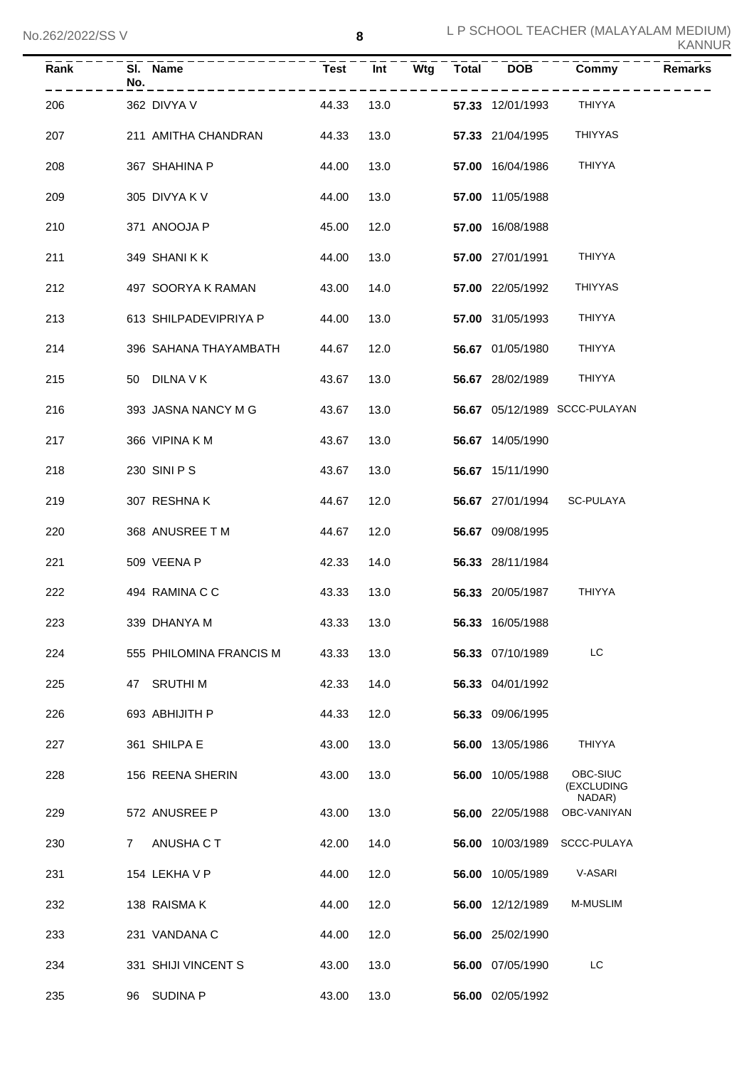|  |  |  | KANNUR |
|--|--|--|--------|
|--|--|--|--------|

| Rank | No. | SI. Name                | Test  | Int  | Wtg | <b>Total</b> | <b>DOB</b>       | Commy                            | <b>Remarks</b> |
|------|-----|-------------------------|-------|------|-----|--------------|------------------|----------------------------------|----------------|
| 206  |     | 362 DIVYA V             | 44.33 | 13.0 |     |              | 57.33 12/01/1993 | <b>THIYYA</b>                    |                |
| 207  |     | 211 AMITHA CHANDRAN     | 44.33 | 13.0 |     |              | 57.33 21/04/1995 | <b>THIYYAS</b>                   |                |
| 208  |     | 367 SHAHINA P           | 44.00 | 13.0 |     |              | 57.00 16/04/1986 | <b>THIYYA</b>                    |                |
| 209  |     | 305 DIVYA K V           | 44.00 | 13.0 |     |              | 57.00 11/05/1988 |                                  |                |
| 210  |     | 371 ANOOJA P            | 45.00 | 12.0 |     |              | 57.00 16/08/1988 |                                  |                |
| 211  |     | 349 SHANIKK             | 44.00 | 13.0 |     |              | 57.00 27/01/1991 | <b>THIYYA</b>                    |                |
| 212  |     | 497 SOORYA K RAMAN      | 43.00 | 14.0 |     |              | 57.00 22/05/1992 | <b>THIYYAS</b>                   |                |
| 213  |     | 613 SHILPADEVIPRIYA P   | 44.00 | 13.0 |     |              | 57.00 31/05/1993 | <b>THIYYA</b>                    |                |
| 214  |     | 396 SAHANA THAYAMBATH   | 44.67 | 12.0 |     |              | 56.67 01/05/1980 | <b>THIYYA</b>                    |                |
| 215  |     | 50 DILNA V K            | 43.67 | 13.0 |     |              | 56.67 28/02/1989 | THIYYA                           |                |
| 216  |     | 393 JASNA NANCY M G     | 43.67 | 13.0 |     |              |                  | 56.67 05/12/1989 SCCC-PULAYAN    |                |
| 217  |     | 366 VIPINA K M          | 43.67 | 13.0 |     |              | 56.67 14/05/1990 |                                  |                |
| 218  |     | 230 SINI P S            | 43.67 | 13.0 |     |              | 56.67 15/11/1990 |                                  |                |
| 219  |     | 307 RESHNAK             | 44.67 | 12.0 |     |              | 56.67 27/01/1994 | SC-PULAYA                        |                |
| 220  |     | 368 ANUSREE T M         | 44.67 | 12.0 |     |              | 56.67 09/08/1995 |                                  |                |
| 221  |     | 509 VEENA P             | 42.33 | 14.0 |     |              | 56.33 28/11/1984 |                                  |                |
| 222  |     | 494 RAMINA C C          | 43.33 | 13.0 |     |              | 56.33 20/05/1987 | <b>THIYYA</b>                    |                |
| 223  |     | 339 DHANYA M            | 43.33 | 13.0 |     |              | 56.33 16/05/1988 |                                  |                |
| 224  |     | 555 PHILOMINA FRANCIS M | 43.33 | 13.0 |     |              | 56.33 07/10/1989 | LC                               |                |
| 225  | 47  | <b>SRUTHIM</b>          | 42.33 | 14.0 |     |              | 56.33 04/01/1992 |                                  |                |
| 226  |     | 693 ABHIJITH P          | 44.33 | 12.0 |     |              | 56.33 09/06/1995 |                                  |                |
| 227  |     | 361 SHILPA E            | 43.00 | 13.0 |     |              | 56.00 13/05/1986 | THIYYA                           |                |
| 228  |     | 156 REENA SHERIN        | 43.00 | 13.0 |     |              | 56.00 10/05/1988 | OBC-SIUC<br>(EXCLUDING<br>NADAR) |                |
| 229  |     | 572 ANUSREE P           | 43.00 | 13.0 |     |              | 56.00 22/05/1988 | OBC-VANIYAN                      |                |
| 230  | 7   | ANUSHA C T              | 42.00 | 14.0 |     |              | 56.00 10/03/1989 | SCCC-PULAYA                      |                |
| 231  |     | 154 LEKHA V P           | 44.00 | 12.0 |     |              | 56.00 10/05/1989 | V-ASARI                          |                |
| 232  |     | 138 RAISMA K            | 44.00 | 12.0 |     |              | 56.00 12/12/1989 | <b>M-MUSLIM</b>                  |                |
| 233  |     | 231 VANDANA C           | 44.00 | 12.0 |     |              | 56.00 25/02/1990 |                                  |                |
| 234  |     | 331 SHIJI VINCENT S     | 43.00 | 13.0 |     |              | 56.00 07/05/1990 | LC                               |                |
| 235  | 96  | <b>SUDINA P</b>         | 43.00 | 13.0 |     |              | 56.00 02/05/1992 |                                  |                |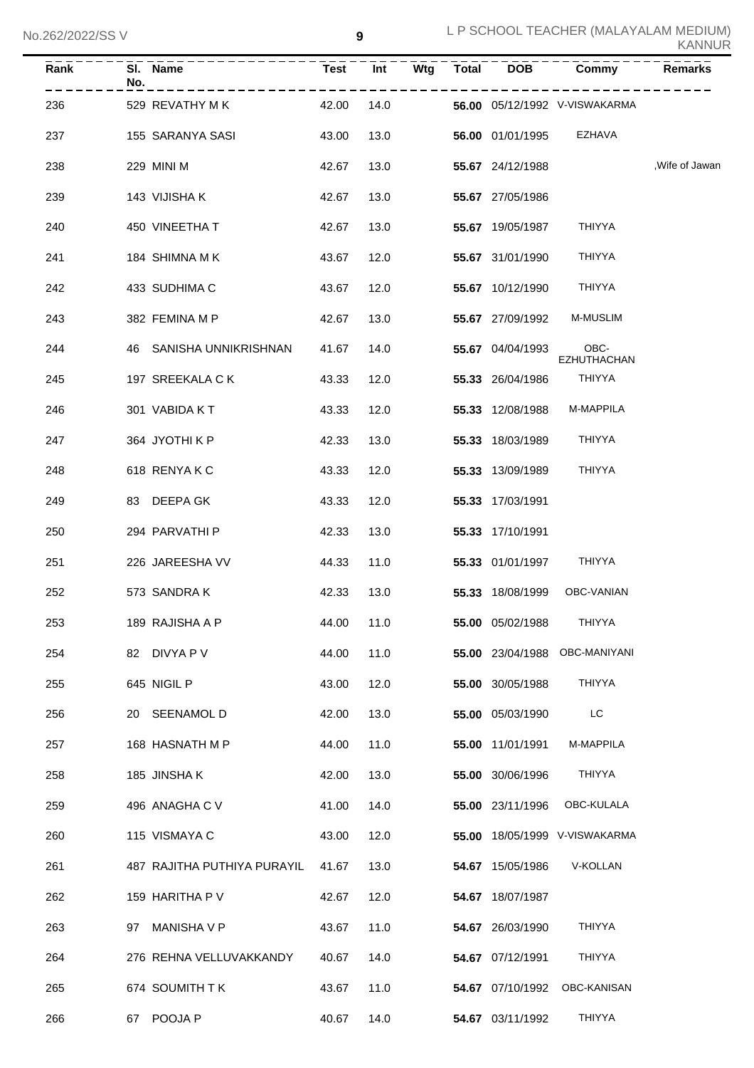| Rank | No. | SI. Name                                                 | <b>Test</b> | Int  | Wtg       | <b>Total</b> | <b>DOB</b>              | Commy                         | Remarks       |
|------|-----|----------------------------------------------------------|-------------|------|-----------|--------------|-------------------------|-------------------------------|---------------|
| 236  |     | 529 REVATHY M K 42.00 14.0 56.00 05/12/1992 V-VISWAKARMA |             |      | --------- |              |                         |                               |               |
| 237  |     | 155  SARANYA SASI                                        | 43.00       |      | 13.0      |              |                         | 56.00 01/01/1995 EZHAVA       |               |
| 238  |     | 229 MINI M                                               | 42.67       |      | 13.0      |              | 55.67 24/12/1988        |                               | Wife of Jawan |
| 239  |     | 143  VIJISHA K                                           | 42.67       |      | 13.0      |              | 55.67 27/05/1986        |                               |               |
| 240  |     | 450 VINEETHA T                                           | 42.67       |      | 13.0      |              | 55.67 19/05/1987        | THIYYA                        |               |
| 241  |     | 184 SHIMNA M K                                           | 43.67       |      | 12.0      |              | 55.67 31/01/1990        | THIYYA                        |               |
| 242  |     | 433 SUDHIMA C                                            | 43.67       |      | 12.0      |              | 55.67 10/12/1990 THIYYA |                               |               |
| 243  |     | 382 FEMINA M P                                           | 42.67       |      | 13.0      |              |                         | 55.67 27/09/1992 M-MUSLIM     |               |
| 244  |     | 46 SANISHA UNNIKRISHNAN 41.67                            |             |      | 14.0      |              | 55.67 04/04/1993        | OBC-<br>EZHUTHACHAN           |               |
| 245  |     | 197 SREEKALA C K                                         | 43.33       |      | 12.0      |              | 55.33 26/04/1986        | THIYYA                        |               |
| 246  |     | 301 VABIDA KT                                            | 43.33       |      | 12.0      |              | 55.33 12/08/1988        | <b>M-MAPPILA</b>              |               |
| 247  |     | 364 JYOTHIKP                                             | 42.33       | 13.0 |           |              | 55.33 18/03/1989        | THIYYA                        |               |
| 248  |     | 618 RENYAKC                                              | 43.33       | 12.0 |           |              | 55.33 13/09/1989        | THIYYA                        |               |
| 249  |     | 83 DEEPA GK                                              | 43.33       | 12.0 |           |              | 55.33 17/03/1991        |                               |               |
| 250  |     | 294 PARVATHI P                                           | 42.33       | 13.0 |           |              | 55.33 17/10/1991        |                               |               |
| 251  |     | 226 JAREESHA VV                                          | 44.33       | 11.0 |           |              | 55.33 01/01/1997 THIYYA |                               |               |
| 252  |     | 573 SANDRA K                                             | 42.33       | 13.0 |           |              | 55.33 18/08/1999        | OBC-VANIAN                    |               |
| 253  |     | 189 RAJISHA A P<br>44.00 11.0                            |             |      |           |              | 55.00 05/02/1988        | THIYYA                        |               |
| 254  |     | 82 DIVYA P V                                             | 44.00       | 11.0 |           |              |                         | 55.00 23/04/1988 OBC-MANIYANI |               |
| 255  |     | 645 NIGIL P                                              | 43.00       | 12.0 |           |              | 55.00 30/05/1988        | THIYYA                        |               |
| 256  |     | 20 SEENAMOL D                                            | 42.00       | 13.0 |           |              | 55.00 05/03/1990        | LC                            |               |
| 257  |     | 168 HASNATH M P                                          | 44.00       | 11.0 |           |              | 55.00 11/01/1991        | M-MAPPILA                     |               |
| 258  |     | 185 JINSHA K                                             | 42.00       | 13.0 |           |              | 55.00 30/06/1996        | THIYYA                        |               |
| 259  |     | 496 ANAGHA C V                                           | 41.00       | 14.0 |           |              | 55.00 23/11/1996        | OBC-KULALA                    |               |
| 260  |     | 115 VISMAYA C                                            | 43.00       | 12.0 |           |              |                         | 55.00 18/05/1999 V-VISWAKARMA |               |
| 261  |     | 487 RAJITHA PUTHIYA PURAYIL                              | 41.67       | 13.0 |           |              | 54.67 15/05/1986        | V-KOLLAN                      |               |
| 262  |     | 159 HARITHA P V                                          | 42.67       | 12.0 |           |              | 54.67 18/07/1987        |                               |               |
| 263  |     | 97 MANISHA V P                                           | 43.67       | 11.0 |           |              | 54.67 26/03/1990        | <b>THIYYA</b>                 |               |
| 264  |     | 276 REHNA VELLUVAKKANDY                                  | 40.67       | 14.0 |           |              | 54.67 07/12/1991        | <b>THIYYA</b>                 |               |
| 265  |     | 674 SOUMITH T K                                          | 43.67       | 11.0 |           |              | 54.67 07/10/1992        | OBC-KANISAN                   |               |
| 266  |     | 67 POOJA P                                               | 40.67       | 14.0 |           |              | 54.67 03/11/1992        | THIYYA                        |               |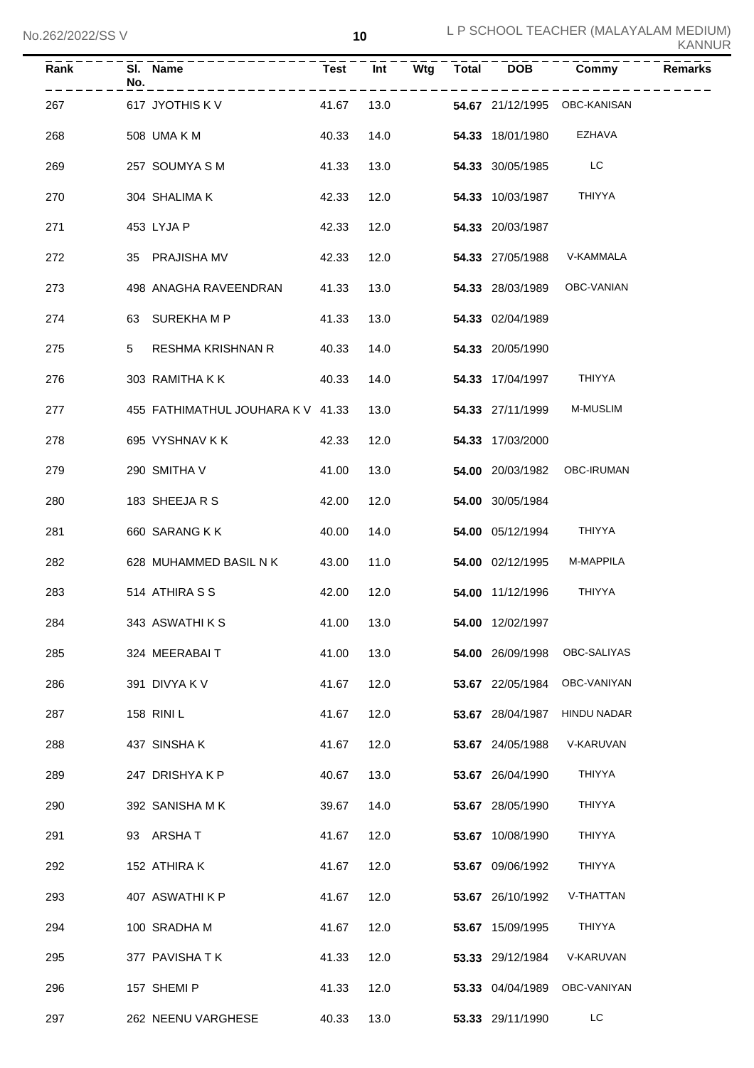| <u>ZOZIZUZZIOO V</u> |                                   |             | ΙV   |     |              |                  |                              | <b>KANNUR</b>  |
|----------------------|-----------------------------------|-------------|------|-----|--------------|------------------|------------------------------|----------------|
| Rank                 | SI. Name<br>No.                   | <b>Test</b> | Int  | Wtg | <b>Total</b> | <b>DOB</b>       | Commy                        | <b>Remarks</b> |
| 267                  | 617 JYOTHIS KV                    | 41.67       | 13.0 |     |              |                  | 54.67 21/12/1995 OBC-KANISAN |                |
| 268                  | 508 UMA K M                       | 40.33       | 14.0 |     |              | 54.33 18/01/1980 | EZHAVA                       |                |
| 269                  | 257 SOUMYA S M                    | 41.33       | 13.0 |     |              | 54.33 30/05/1985 | LC                           |                |
| 270                  | 304 SHALIMA K                     | 42.33       | 12.0 |     |              | 54.33 10/03/1987 | THIYYA                       |                |
| 271                  | 453 LYJA P                        | 42.33       | 12.0 |     |              | 54.33 20/03/1987 |                              |                |
| 272                  | 35 PRAJISHA MV                    | 42.33       | 12.0 |     |              | 54.33 27/05/1988 | V-KAMMALA                    |                |
| 273                  | 498 ANAGHA RAVEENDRAN             | 41.33       | 13.0 |     |              | 54.33 28/03/1989 | OBC-VANIAN                   |                |
| 274                  | SUREKHA M P<br>63                 | 41.33       | 13.0 |     |              | 54.33 02/04/1989 |                              |                |
| 275                  | <b>RESHMA KRISHNAN R</b><br>5     | 40.33       | 14.0 |     |              | 54.33 20/05/1990 |                              |                |
| 276                  | 303 RAMITHA K K                   | 40.33       | 14.0 |     |              | 54.33 17/04/1997 | THIYYA                       |                |
| 277                  | 455 FATHIMATHUL JOUHARA K V 41.33 |             | 13.0 |     |              | 54.33 27/11/1999 | M-MUSLIM                     |                |
| 278                  | 695 VYSHNAV K K                   | 42.33       | 12.0 |     |              | 54.33 17/03/2000 |                              |                |
| 279                  | 290 SMITHA V                      | 41.00       | 13.0 |     |              | 54.00 20/03/1982 | OBC-IRUMAN                   |                |
| 280                  | 183 SHEEJA R S                    | 42.00       | 12.0 |     |              | 54.00 30/05/1984 |                              |                |
| 281                  | 660 SARANG K K                    | 40.00       | 14.0 |     |              | 54.00 05/12/1994 | THIYYA                       |                |
| 282                  | 628 MUHAMMED BASIL N K            | 43.00       | 11.0 |     |              | 54.00 02/12/1995 | M-MAPPILA                    |                |
| 283                  | 514 ATHIRA S S                    | 42.00       | 12.0 |     |              | 54.00 11/12/1996 | <b>THIYYA</b>                |                |
| 284                  | 343 ASWATHIKS                     | 41.00       | 13.0 |     |              | 54.00 12/02/1997 |                              |                |
| 285                  | 324 MEERABAIT                     | 41.00       | 13.0 |     |              | 54.00 26/09/1998 | OBC-SALIYAS                  |                |
| 286                  | 391 DIVYA K V                     | 41.67       | 12.0 |     |              | 53.67 22/05/1984 | OBC-VANIYAN                  |                |
| 287                  | 158 RINI L                        | 41.67       | 12.0 |     |              | 53.67 28/04/1987 | <b>HINDU NADAR</b>           |                |
| 288                  | 437 SINSHAK                       | 41.67       | 12.0 |     |              | 53.67 24/05/1988 | V-KARUVAN                    |                |
| 289                  | 247 DRISHYAKP                     | 40.67       | 13.0 |     |              | 53.67 26/04/1990 | THIYYA                       |                |
| 290                  | 392 SANISHA MK                    | 39.67       | 14.0 |     |              | 53.67 28/05/1990 | THIYYA                       |                |
| 291                  | 93 ARSHAT                         | 41.67       | 12.0 |     |              | 53.67 10/08/1990 | THIYYA                       |                |
| 292                  | 152 ATHIRA K                      | 41.67       | 12.0 |     |              | 53.67 09/06/1992 | THIYYA                       |                |
| 293                  | 407 ASWATHI K P                   | 41.67       | 12.0 |     |              | 53.67 26/10/1992 | V-THATTAN                    |                |
| 294                  | 100 SRADHA M                      | 41.67       | 12.0 |     |              | 53.67 15/09/1995 | THIYYA                       |                |
| 295                  | 377 PAVISHATK                     | 41.33       | 12.0 |     |              | 53.33 29/12/1984 | V-KARUVAN                    |                |
| 296                  | 157 SHEMI P                       | 41.33       | 12.0 |     |              | 53.33 04/04/1989 | OBC-VANIYAN                  |                |
| 297                  | 262 NEENU VARGHESE                | 40.33       | 13.0 |     |              | 53.33 29/11/1990 | LC.                          |                |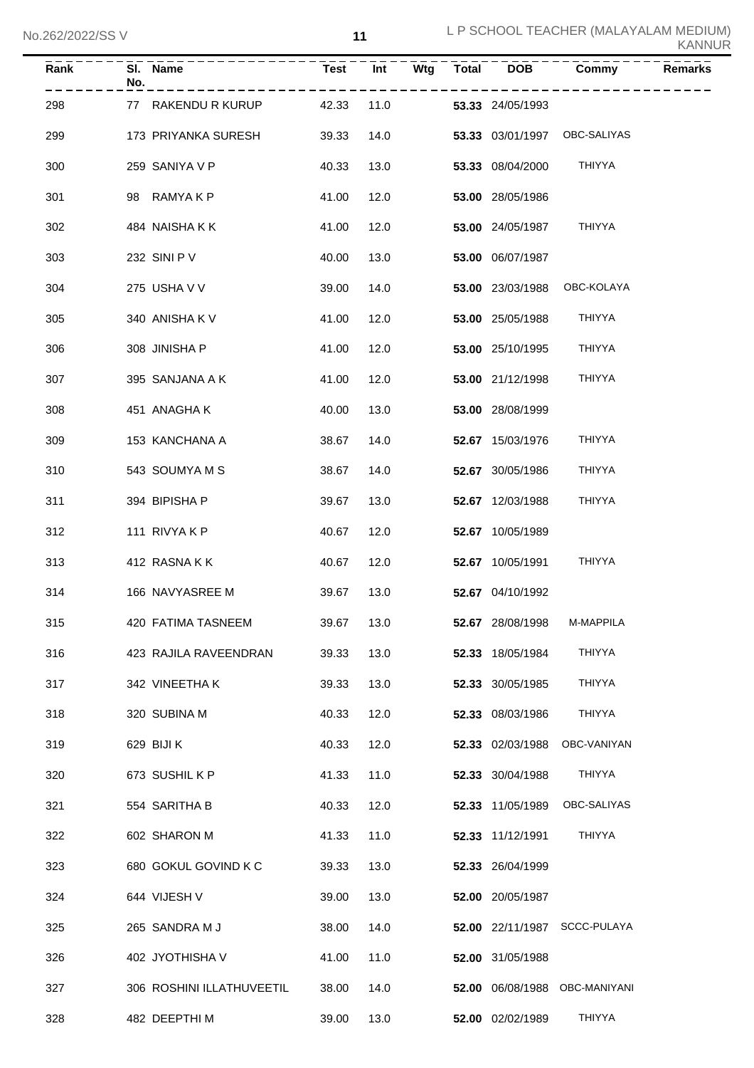| Rank | No. | SI. Name                  |            |      |  | Test Int Wtg Total DOB | Commy                         | <b>Remarks</b> |
|------|-----|---------------------------|------------|------|--|------------------------|-------------------------------|----------------|
| 298  |     | 77 RAKENDU R KURUP        | 42.33      | 11.0 |  | 53.33 24/05/1993       |                               |                |
| 299  |     | 173 PRIYANKA SURESH       | 39.33      | 14.0 |  |                        | 53.33 03/01/1997 OBC-SALIYAS  |                |
| 300  |     | 259 SANIYA V P            | 40.33      | 13.0 |  | 53.33 08/04/2000       | THIYYA                        |                |
| 301  |     | 98 RAMYAKP                | 41.00      | 12.0 |  | 53.00 28/05/1986       |                               |                |
| 302  |     | 484 NAISHAKK              | 41.00      | 12.0 |  | 53.00 24/05/1987       | <b>THIYYA</b>                 |                |
| 303  |     | 232 SINI P V              | 40.00      | 13.0 |  | 53.00 06/07/1987       |                               |                |
| 304  |     | 275 USHA V V              | 39.00      | 14.0 |  | 53.00 23/03/1988       | OBC-KOLAYA                    |                |
| 305  |     | 340 ANISHA KV             | 41.00      | 12.0 |  | 53.00 25/05/1988       | THIYYA                        |                |
| 306  |     | 308 JINISHA P             | 41.00      | 12.0 |  | 53.00 25/10/1995       | THIYYA                        |                |
| 307  |     | 395 SANJANA A K           | 41.00      | 12.0 |  | 53.00 21/12/1998       | <b>THIYYA</b>                 |                |
| 308  |     | 451 ANAGHAK               | 40.00      | 13.0 |  | 53.00 28/08/1999       |                               |                |
| 309  |     | 153 KANCHANA A            | 38.67      | 14.0 |  | 52.67 15/03/1976       | THIYYA                        |                |
| 310  |     | 543 SOUMYA M S            | 38.67      | 14.0 |  | 52.67 30/05/1986       | THIYYA                        |                |
| 311  |     | 394 BIPISHA P             | 39.67      | 13.0 |  | 52.67 12/03/1988       | THIYYA                        |                |
| 312  |     | 111 RIVYAKP               | 40.67      | 12.0 |  | 52.67 10/05/1989       |                               |                |
| 313  |     | 412 RASNAKK               | 40.67      | 12.0 |  | 52.67 10/05/1991       | <b>THIYYA</b>                 |                |
| 314  |     | 166 NAVYASREE M           | 39.67      | 13.0 |  | 52.67 04/10/1992       |                               |                |
| 315  |     | 420 FATIMA TASNEEM        | 39.67 13.0 |      |  |                        | 52.67 28/08/1998 M-MAPPILA    |                |
| 316  |     | 423 RAJILA RAVEENDRAN     | 39.33      | 13.0 |  | 52.33 18/05/1984       | THIYYA                        |                |
| 317  |     | 342 VINEETHA K            | 39.33      | 13.0 |  | 52.33 30/05/1985       | THIYYA                        |                |
| 318  |     | 320 SUBINA M              | 40.33      | 12.0 |  | 52.33 08/03/1986       | THIYYA                        |                |
| 319  |     | 629 BIJI K                | 40.33      | 12.0 |  | 52.33 02/03/1988       | OBC-VANIYAN                   |                |
| 320  |     | 673 SUSHIL K P            | 41.33      | 11.0 |  | 52.33 30/04/1988       | <b>THIYYA</b>                 |                |
| 321  |     | 554 SARITHA B             | 40.33      | 12.0 |  | 52.33 11/05/1989       | OBC-SALIYAS                   |                |
| 322  |     | 602 SHARON M              | 41.33      | 11.0 |  | 52.33 11/12/1991       | THIYYA                        |                |
| 323  |     | 680 GOKUL GOVIND K C      | 39.33      | 13.0 |  | 52.33 26/04/1999       |                               |                |
| 324  |     | 644 VIJESH V              | 39.00      | 13.0 |  | 52.00 20/05/1987       |                               |                |
| 325  |     | 265 SANDRA M J            | 38.00      | 14.0 |  |                        | 52.00 22/11/1987 SCCC-PULAYA  |                |
| 326  |     | 402 JYOTHISHA V           | 41.00      | 11.0 |  | 52.00 31/05/1988       |                               |                |
| 327  |     | 306 ROSHINI ILLATHUVEETIL | 38.00      | 14.0 |  |                        | 52.00 06/08/1988 OBC-MANIYANI |                |
| 328  |     | 482 DEEPTHI M             | 39.00      | 13.0 |  | 52.00 02/02/1989       | THIYYA                        |                |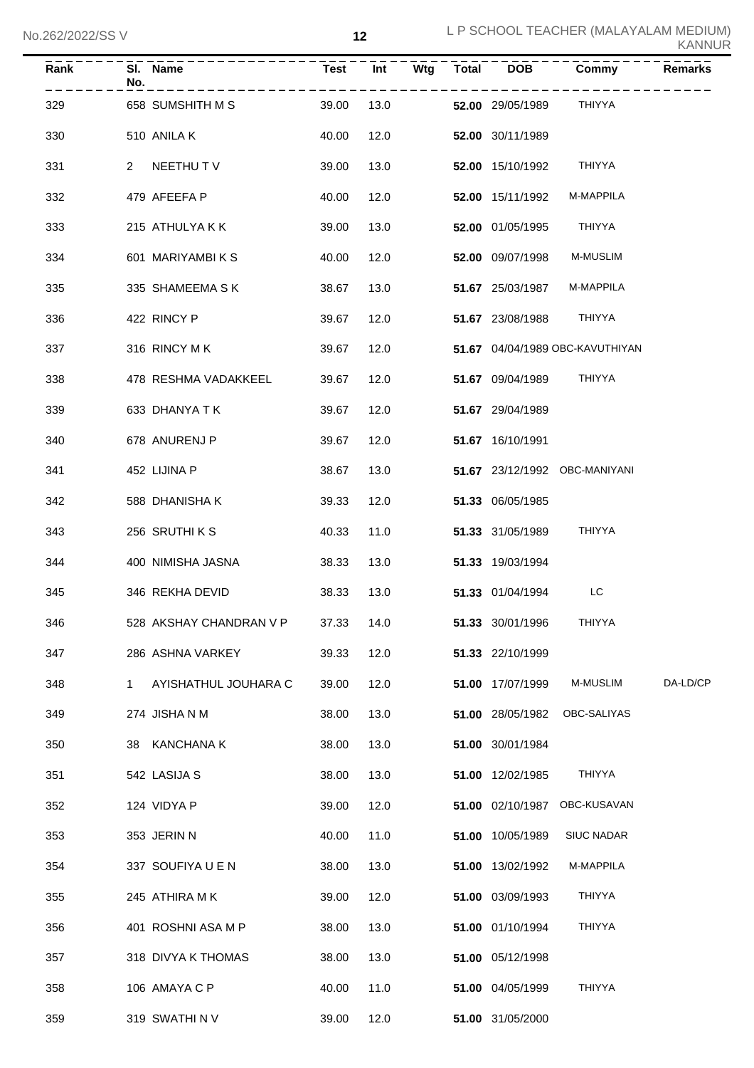| Rank | No. | SI. Name                |       |      |  |                  | Test Int Wtg Total DOB Commy    | Remarks  |
|------|-----|-------------------------|-------|------|--|------------------|---------------------------------|----------|
| 329  |     | 658 SUMSHITH M S        | 39.00 | 13.0 |  | 52.00 29/05/1989 | THIYYA                          |          |
| 330  |     | 510 ANILA K             | 40.00 | 12.0 |  | 52.00 30/11/1989 |                                 |          |
| 331  |     | 2 NEETHUT V             | 39.00 | 13.0 |  | 52.00 15/10/1992 | THIYYA                          |          |
| 332  |     | 479 AFEEFA P            | 40.00 | 12.0 |  | 52.00 15/11/1992 | M-MAPPILA                       |          |
| 333  |     | 215 ATHULYA K K         | 39.00 | 13.0 |  | 52.00 01/05/1995 | THIYYA                          |          |
| 334  |     | 601 MARIYAMBIKS         | 40.00 | 12.0 |  | 52.00 09/07/1998 | <b>M-MUSLIM</b>                 |          |
| 335  |     | 335 SHAMEEMA S K        | 38.67 | 13.0 |  | 51.67 25/03/1987 | M-MAPPILA                       |          |
| 336  |     | 422 RINCY P             | 39.67 | 12.0 |  | 51.67 23/08/1988 | THIYYA                          |          |
| 337  |     | 316 RINCY M K           | 39.67 | 12.0 |  |                  | 51.67 04/04/1989 OBC-KAVUTHIYAN |          |
| 338  |     | 478 RESHMA VADAKKEEL    | 39.67 | 12.0 |  | 51.67 09/04/1989 | THIYYA                          |          |
| 339  |     | 633 DHANYA T K          | 39.67 | 12.0 |  | 51.67 29/04/1989 |                                 |          |
| 340  |     | 678 ANURENJ P           | 39.67 | 12.0 |  | 51.67 16/10/1991 |                                 |          |
| 341  |     | 452 LIJINA P            | 38.67 | 13.0 |  |                  | 51.67 23/12/1992 OBC-MANIYANI   |          |
| 342  |     | 588 DHANISHA K          | 39.33 | 12.0 |  | 51.33 06/05/1985 |                                 |          |
| 343  |     | 256 SRUTHIKS            | 40.33 | 11.0 |  | 51.33 31/05/1989 | THIYYA                          |          |
| 344  |     | 400 NIMISHA JASNA       | 38.33 | 13.0 |  | 51.33 19/03/1994 |                                 |          |
| 345  |     | 346 REKHA DEVID         | 38.33 | 13.0 |  | 51.33 01/04/1994 | LC.                             |          |
| 346  |     | 528 AKSHAY CHANDRAN V P | 37.33 | 14.0 |  | 51.33 30/01/1996 | THIYYA                          |          |
| 347  |     | 286 ASHNA VARKEY        | 39.33 | 12.0 |  | 51.33 22/10/1999 |                                 |          |
| 348  | 1   | AYISHATHUL JOUHARA C    | 39.00 | 12.0 |  | 51.00 17/07/1999 | M-MUSLIM                        | DA-LD/CP |
| 349  |     | 274 JISHA N M           | 38.00 | 13.0 |  | 51.00 28/05/1982 | OBC-SALIYAS                     |          |
| 350  |     | 38 KANCHANA K           | 38.00 | 13.0 |  | 51.00 30/01/1984 |                                 |          |
| 351  |     | 542 LASIJA S            | 38.00 | 13.0 |  | 51.00 12/02/1985 | THIYYA                          |          |
| 352  |     | 124 VIDYA P             | 39.00 | 12.0 |  | 51.00 02/10/1987 | OBC-KUSAVAN                     |          |
| 353  |     | 353 JERIN N             | 40.00 | 11.0 |  | 51.00 10/05/1989 | <b>SIUC NADAR</b>               |          |
| 354  |     | 337 SOUFIYA U E N       | 38.00 | 13.0 |  | 51.00 13/02/1992 | M-MAPPILA                       |          |
| 355  |     | 245 ATHIRA MK           | 39.00 | 12.0 |  | 51.00 03/09/1993 | THIYYA                          |          |
| 356  |     | 401 ROSHNI ASA M P      | 38.00 | 13.0 |  | 51.00 01/10/1994 | <b>THIYYA</b>                   |          |
| 357  |     | 318 DIVYA K THOMAS      | 38.00 | 13.0 |  | 51.00 05/12/1998 |                                 |          |
| 358  |     | 106 AMAYA C P           | 40.00 | 11.0 |  | 51.00 04/05/1999 | <b>THIYYA</b>                   |          |
| 359  |     | 319 SWATHINV            | 39.00 | 12.0 |  | 51.00 31/05/2000 |                                 |          |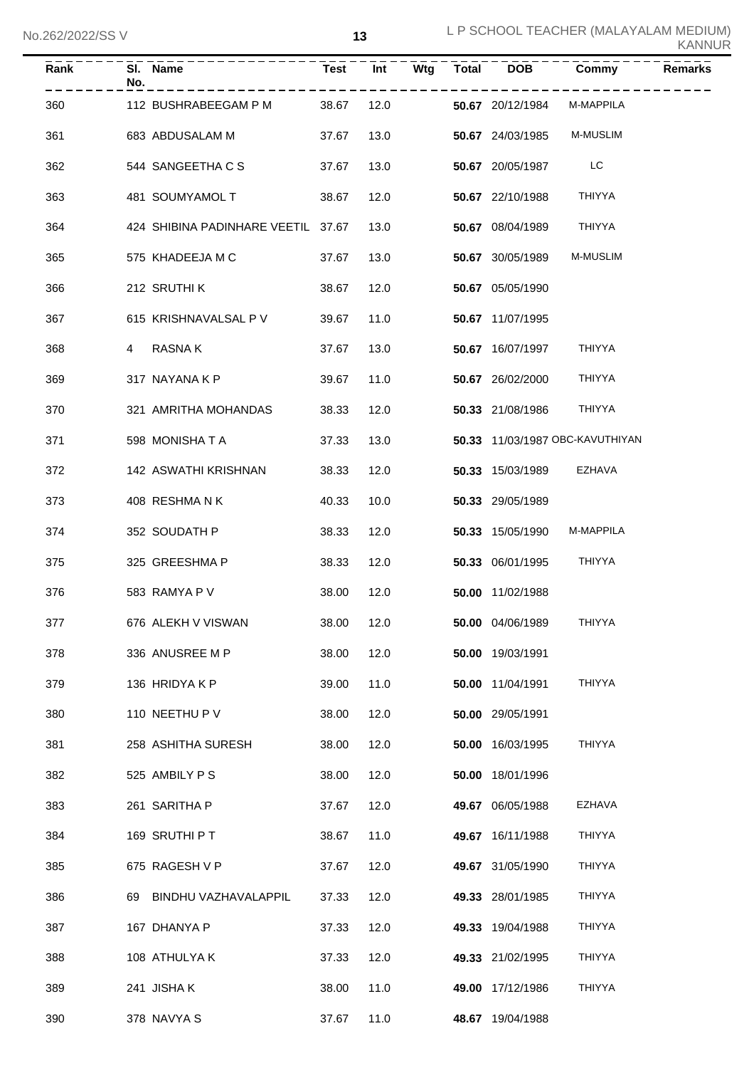| ZUZIZUZZIJJ V |     |                                    |             | IJ   |     |              |                  |                                 | <b>KANNUR</b>  |
|---------------|-----|------------------------------------|-------------|------|-----|--------------|------------------|---------------------------------|----------------|
| Rank          | No. | SI. Name                           | <b>Test</b> | Int  | Wtg | <b>Total</b> | <b>DOB</b>       | Commy                           | <b>Remarks</b> |
| 360           |     | 112 BUSHRABEEGAM P M               | 38.67       | 12.0 |     |              | 50.67 20/12/1984 | M-MAPPILA                       |                |
| 361           |     | 683 ABDUSALAM M                    | 37.67       | 13.0 |     |              | 50.67 24/03/1985 | M-MUSLIM                        |                |
| 362           |     | 544 SANGEETHA C S                  | 37.67       | 13.0 |     |              | 50.67 20/05/1987 | LC                              |                |
| 363           |     | 481 SOUMYAMOL T                    | 38.67       | 12.0 |     |              | 50.67 22/10/1988 | <b>THIYYA</b>                   |                |
| 364           |     | 424 SHIBINA PADINHARE VEETIL 37.67 |             | 13.0 |     |              | 50.67 08/04/1989 | <b>THIYYA</b>                   |                |
| 365           |     | 575 KHADEEJA M C                   | 37.67       | 13.0 |     |              | 50.67 30/05/1989 | M-MUSLIM                        |                |
| 366           |     | 212 SRUTHI K                       | 38.67       | 12.0 |     |              | 50.67 05/05/1990 |                                 |                |
| 367           |     | 615 KRISHNAVALSAL P V              | 39.67       | 11.0 |     |              | 50.67 11/07/1995 |                                 |                |
| 368           | 4   | RASNA K                            | 37.67       | 13.0 |     |              | 50.67 16/07/1997 | THIYYA                          |                |
| 369           |     | 317 NAYANA K P                     | 39.67       | 11.0 |     |              | 50.67 26/02/2000 | <b>THIYYA</b>                   |                |
| 370           |     | 321 AMRITHA MOHANDAS               | 38.33       | 12.0 |     |              | 50.33 21/08/1986 | <b>THIYYA</b>                   |                |
| 371           |     | 598 MONISHATA                      | 37.33       | 13.0 |     |              |                  | 50.33 11/03/1987 OBC-KAVUTHIYAN |                |
| 372           |     | 142 ASWATHI KRISHNAN               | 38.33       | 12.0 |     |              | 50.33 15/03/1989 | EZHAVA                          |                |
| 373           |     | 408 RESHMANK                       | 40.33       | 10.0 |     |              | 50.33 29/05/1989 |                                 |                |
| 374           |     | 352 SOUDATH P                      | 38.33       | 12.0 |     |              | 50.33 15/05/1990 | M-MAPPILA                       |                |
| 375           |     | 325 GREESHMA P                     | 38.33       | 12.0 |     |              | 50.33 06/01/1995 | THIYYA                          |                |
| 376           |     | 583 RAMYA P V                      | 38.00       | 12.0 |     |              | 50.00 11/02/1988 |                                 |                |
| 377           |     | 676 ALEKH V VISWAN                 | 38.00       | 12.0 |     |              | 50.00 04/06/1989 | THIYYA                          |                |
| 378           |     | 336 ANUSREE M P                    | 38.00       | 12.0 |     |              | 50.00 19/03/1991 |                                 |                |
| 379           |     | 136 HRIDYAKP                       | 39.00       | 11.0 |     |              | 50.00 11/04/1991 | THIYYA                          |                |
| 380           |     | 110 NEETHU P V                     | 38.00       | 12.0 |     |              | 50.00 29/05/1991 |                                 |                |
| 381           |     | 258 ASHITHA SURESH                 | 38.00       | 12.0 |     |              | 50.00 16/03/1995 | <b>THIYYA</b>                   |                |
| 382           |     | 525 AMBILY P S                     | 38.00       | 12.0 |     |              | 50.00 18/01/1996 |                                 |                |
| 383           |     | 261 SARITHA P                      | 37.67       | 12.0 |     |              | 49.67 06/05/1988 | EZHAVA                          |                |
| 384           |     | 169 SRUTHI P T                     | 38.67       | 11.0 |     |              | 49.67 16/11/1988 | THIYYA                          |                |
| 385           |     | 675 RAGESH V P                     | 37.67       | 12.0 |     |              | 49.67 31/05/1990 | THIYYA                          |                |
| 386           |     | 69 BINDHU VAZHAVALAPPIL            | 37.33       | 12.0 |     |              | 49.33 28/01/1985 | THIYYA                          |                |
| 387           |     | 167 DHANYA P                       | 37.33       | 12.0 |     |              | 49.33 19/04/1988 | THIYYA                          |                |
| 388           |     | 108 ATHULYA K                      | 37.33       | 12.0 |     |              | 49.33 21/02/1995 | THIYYA                          |                |
| 389           |     | 241 JISHA K                        | 38.00       | 11.0 |     |              | 49.00 17/12/1986 | THIYYA                          |                |
| 390           |     | 378 NAVYA S                        | 37.67       | 11.0 |     |              | 48.67 19/04/1988 |                                 |                |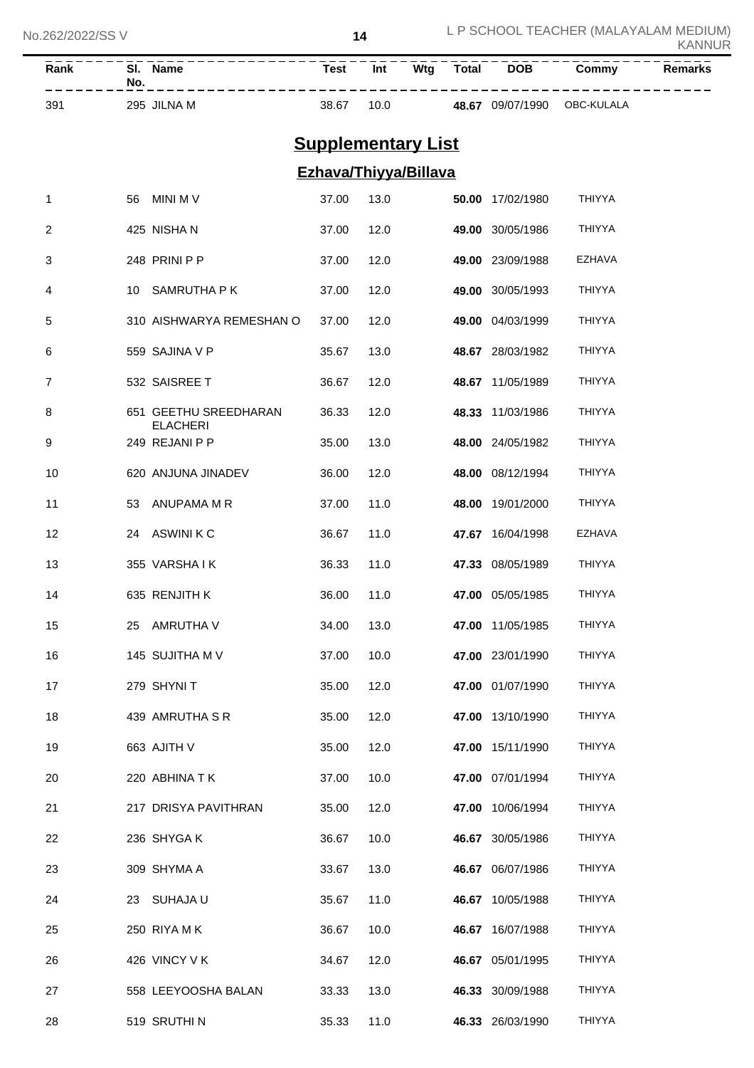| Rank | SI.<br><b>Name</b><br>No. | <b>Test</b> | Int  | Wta | <b>Total</b> | <b>DOB</b> | Commv      | <b>Remarks</b> |
|------|---------------------------|-------------|------|-----|--------------|------------|------------|----------------|
| 39'  | <b>JILNA M</b><br>295     | 38.67       | 10.0 |     | <b>4867</b>  | 09/07/1990 | OBC-KULALA |                |

# **Supplementary List**

## **Ezhava/Thiyya/Billava**

| 1  | 56  | <b>MINI MV</b>                           | 37.00 | 13.0 |       | 50.00 17/02/1980 | <b>THIYYA</b> |
|----|-----|------------------------------------------|-------|------|-------|------------------|---------------|
| 2  |     | 425 NISHA N                              | 37.00 | 12.0 |       | 49.00 30/05/1986 | <b>THIYYA</b> |
| 3  |     | 248 PRINI P P                            | 37.00 | 12.0 |       | 49.00 23/09/1988 | <b>EZHAVA</b> |
| 4  | 10  | SAMRUTHA P K                             | 37.00 | 12.0 |       | 49.00 30/05/1993 | <b>THIYYA</b> |
| 5  |     | 310 AISHWARYA REMESHAN O                 | 37.00 | 12.0 |       | 49.00 04/03/1999 | <b>THIYYA</b> |
| 6  |     | 559 SAJINA V P                           | 35.67 | 13.0 |       | 48.67 28/03/1982 | <b>THIYYA</b> |
| 7  |     | 532 SAISREE T                            | 36.67 | 12.0 |       | 48.67 11/05/1989 | THIYYA        |
| 8  |     | 651 GEETHU SREEDHARAN<br><b>ELACHERI</b> | 36.33 | 12.0 | 48.33 | 11/03/1986       | <b>THIYYA</b> |
| 9  |     | 249 REJANI P P                           | 35.00 | 13.0 |       | 48.00 24/05/1982 | THIYYA        |
| 10 |     | 620 ANJUNA JINADEV                       | 36.00 | 12.0 |       | 48.00 08/12/1994 | THIYYA        |
| 11 | 53  | ANUPAMA M R                              | 37.00 | 11.0 | 48.00 | 19/01/2000       | <b>THIYYA</b> |
| 12 | 24  | <b>ASWINI K C</b>                        | 36.67 | 11.0 |       | 47.67 16/04/1998 | <b>EZHAVA</b> |
| 13 |     | 355 VARSHAIK                             | 36.33 | 11.0 |       | 47.33 08/05/1989 | <b>THIYYA</b> |
| 14 |     | 635 RENJITH K                            | 36.00 | 11.0 |       | 47.00 05/05/1985 | THIYYA        |
| 15 | 25  | AMRUTHA V                                | 34.00 | 13.0 | 47.00 | 11/05/1985       | <b>THIYYA</b> |
| 16 |     | 145 SUJITHA M V                          | 37.00 | 10.0 |       | 47.00 23/01/1990 | <b>THIYYA</b> |
| 17 |     | 279 SHYNIT                               | 35.00 | 12.0 |       | 47.00 01/07/1990 | <b>THIYYA</b> |
| 18 |     | 439 AMRUTHA S R                          | 35.00 | 12.0 |       | 47.00 13/10/1990 | <b>THIYYA</b> |
| 19 |     | 663 AJITH V                              | 35.00 | 12.0 |       | 47.00 15/11/1990 | <b>THIYYA</b> |
| 20 |     | 220 ABHINA T K                           | 37.00 | 10.0 |       | 47.00 07/01/1994 | <b>THIYYA</b> |
| 21 |     | 217 DRISYA PAVITHRAN                     | 35.00 | 12.0 |       | 47.00 10/06/1994 | <b>THIYYA</b> |
| 22 |     | 236 SHYGA K                              | 36.67 | 10.0 |       | 46.67 30/05/1986 | <b>THIYYA</b> |
| 23 |     | 309 SHYMA A                              | 33.67 | 13.0 |       | 46.67 06/07/1986 | <b>THIYYA</b> |
| 24 | 23. | SUHAJA U                                 | 35.67 | 11.0 |       | 46.67 10/05/1988 | <b>THIYYA</b> |
| 25 |     | 250 RIYA MK                              | 36.67 | 10.0 |       | 46.67 16/07/1988 | <b>THIYYA</b> |
| 26 |     | 426 VINCY V K                            | 34.67 | 12.0 |       | 46.67 05/01/1995 | <b>THIYYA</b> |
| 27 |     | 558 LEEYOOSHA BALAN                      | 33.33 | 13.0 |       | 46.33 30/09/1988 | <b>THIYYA</b> |
| 28 |     | 519 SRUTHIN                              | 35.33 | 11.0 |       | 46.33 26/03/1990 | THIYYA        |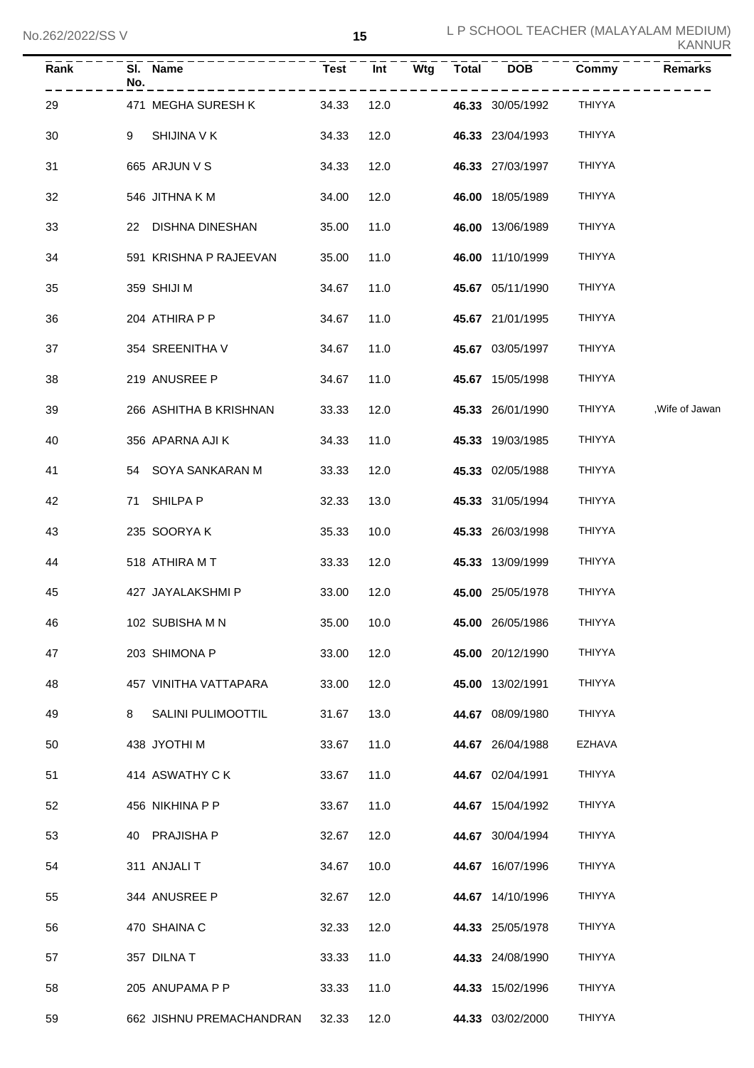| Rank | No. | SI. Name                    |       |            |  | Test Int Wtg Total DOB | Commy<br>- - - - - - | <b>Remarks</b>  |
|------|-----|-----------------------------|-------|------------|--|------------------------|----------------------|-----------------|
| 29   |     | 471 MEGHA SURESH K<br>34.33 |       | 12.0       |  | 46.33 30/05/1992       | THIYYA               |                 |
| 30   | 9   | SHIJINA V K                 | 34.33 | 12.0       |  | 46.33 23/04/1993       | THIYYA               |                 |
| 31   |     | 665 ARJUN V S               | 34.33 | 12.0       |  | 46.33 27/03/1997       | THIYYA               |                 |
| 32   |     | 546 JITHNA K M              | 34.00 | 12.0       |  | 46.00 18/05/1989       | THIYYA               |                 |
| 33   |     | 22 DISHNA DINESHAN          | 35.00 | 11.0       |  | 46.00 13/06/1989       | <b>THIYYA</b>        |                 |
| 34   |     | 591 KRISHNA P RAJEEVAN      | 35.00 | 11.0       |  | 46.00 11/10/1999       | <b>THIYYA</b>        |                 |
| 35   |     | 359 SHIJI M                 | 34.67 | 11.0       |  | 45.67 05/11/1990       | <b>THIYYA</b>        |                 |
| 36   |     | 204 ATHIRA P P              | 34.67 | 11.0       |  | 45.67 21/01/1995       | THIYYA               |                 |
| 37   |     | 354 SREENITHA V             | 34.67 | 11.0       |  | 45.67 03/05/1997       | THIYYA               |                 |
| 38   |     | 219 ANUSREE P               | 34.67 | 11.0       |  | 45.67 15/05/1998       | THIYYA               |                 |
| 39   |     | 266 ASHITHA B KRISHNAN      | 33.33 | 12.0       |  | 45.33 26/01/1990       | THIYYA               | , Wife of Jawan |
| 40   |     | 356 APARNA AJI K            | 34.33 | 11.0       |  | 45.33 19/03/1985       | THIYYA               |                 |
| 41   |     | 54 SOYA SANKARAN M          | 33.33 | 12.0       |  | 45.33 02/05/1988       | THIYYA               |                 |
| 42   |     | 71 SHILPA P                 | 32.33 | 13.0       |  | 45.33 31/05/1994       | THIYYA               |                 |
| 43   |     | 235 SOORYAK                 | 35.33 | 10.0       |  | 45.33 26/03/1998       | THIYYA               |                 |
| 44   |     | 518 ATHIRA MT               | 33.33 | 12.0       |  | 45.33 13/09/1999       | THIYYA               |                 |
| 45   |     | 427 JAYALAKSHMI P           | 33.00 | 12.0       |  | 45.00 25/05/1978       | THIYYA               |                 |
| 46   |     | 102 SUBISHA M N             |       | 35.00 10.0 |  | 45.00 26/05/1986       | THIYYA               |                 |
| 47   |     | 203 SHIMONA P               | 33.00 | 12.0       |  | 45.00 20/12/1990       | THIYYA               |                 |
| 48   |     | 457 VINITHA VATTAPARA       | 33.00 | 12.0       |  | 45.00 13/02/1991       | <b>THIYYA</b>        |                 |
| 49   | 8   | SALINI PULIMOOTTIL          | 31.67 | 13.0       |  | 44.67 08/09/1980       | <b>THIYYA</b>        |                 |
| 50   |     | 438 JYOTHI M                | 33.67 | 11.0       |  | 44.67 26/04/1988       | EZHAVA               |                 |
| 51   |     | 414 ASWATHY C K             | 33.67 | 11.0       |  | 44.67 02/04/1991       | <b>THIYYA</b>        |                 |
| 52   |     | 456 NIKHINA P P             | 33.67 | 11.0       |  | 44.67 15/04/1992       | <b>THIYYA</b>        |                 |
| 53   |     | 40 PRAJISHA P               | 32.67 | 12.0       |  | 44.67 30/04/1994       | <b>THIYYA</b>        |                 |
| 54   |     | 311 ANJALIT                 | 34.67 | 10.0       |  | 44.67 16/07/1996       | <b>THIYYA</b>        |                 |
| 55   |     | 344 ANUSREE P               | 32.67 | 12.0       |  | 44.67 14/10/1996       | <b>THIYYA</b>        |                 |
| 56   |     | 470 SHAINA C                | 32.33 | 12.0       |  | 44.33 25/05/1978       | <b>THIYYA</b>        |                 |
| 57   |     | 357 DILNAT                  | 33.33 | 11.0       |  | 44.33 24/08/1990       | <b>THIYYA</b>        |                 |
| 58   |     | 205 ANUPAMA P P             | 33.33 | 11.0       |  | 44.33 15/02/1996       | THIYYA               |                 |
| 59   |     | 662 JISHNU PREMACHANDRAN    | 32.33 | 12.0       |  | 44.33 03/02/2000       | THIYYA               |                 |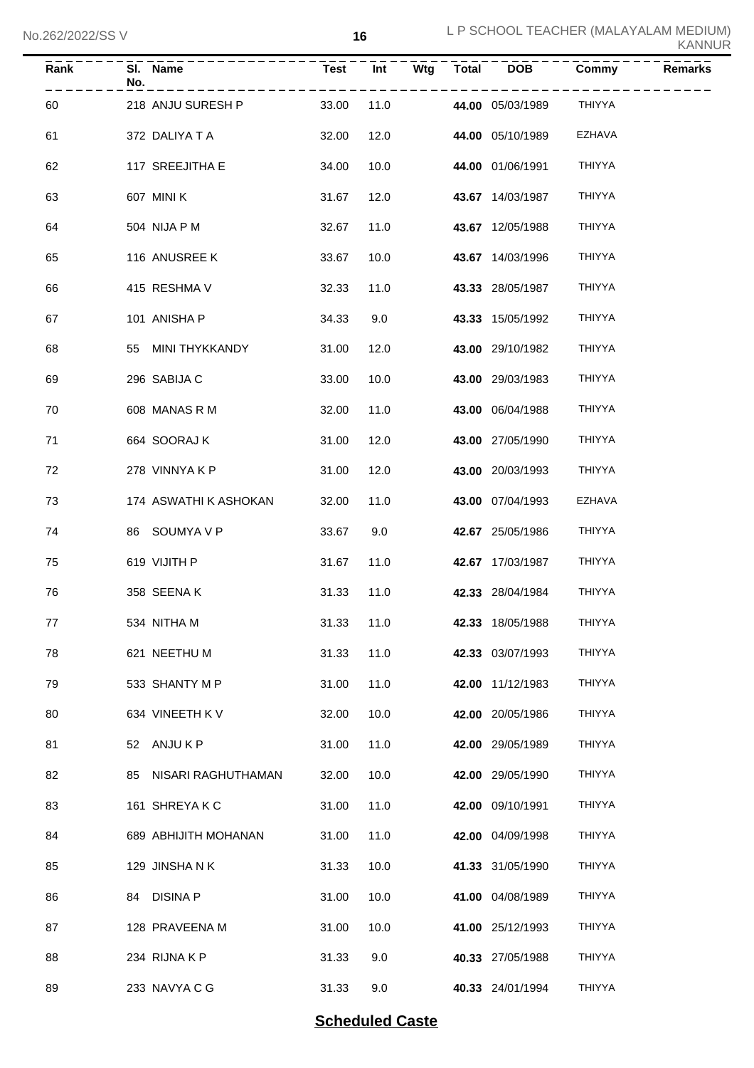| Rank | SI. Name<br>No.       | <b>Test</b> | $\overline{Int}$ | $\overline{\mathsf{W}}$ tg | Total | <b>DOB</b>       | <b>Commy</b>  | <b>Remarks</b> |
|------|-----------------------|-------------|------------------|----------------------------|-------|------------------|---------------|----------------|
| 60   | 218 ANJU SURESH P     | 33.00       | 11.0             |                            |       | 44.00 05/03/1989 | THIYYA        |                |
| 61   | 372 DALIYA T A        | 32.00       | 12.0             |                            |       | 44.00 05/10/1989 | EZHAVA        |                |
| 62   | 117 SREEJITHA E       | 34.00       | 10.0             |                            |       | 44.00 01/06/1991 | <b>THIYYA</b> |                |
| 63   | 607 MINI K            | 31.67       | 12.0             |                            |       | 43.67 14/03/1987 | <b>THIYYA</b> |                |
| 64   | 504 NIJA P M          | 32.67       | 11.0             |                            |       | 43.67 12/05/1988 | <b>THIYYA</b> |                |
| 65   | 116 ANUSREE K         | 33.67       | 10.0             |                            |       | 43.67 14/03/1996 | <b>THIYYA</b> |                |
| 66   | 415 RESHMA V          | 32.33       | 11.0             |                            |       | 43.33 28/05/1987 | <b>THIYYA</b> |                |
| 67   | 101 ANISHA P          | 34.33       | 9.0              |                            |       | 43.33 15/05/1992 | <b>THIYYA</b> |                |
| 68   | 55 MINI THYKKANDY     | 31.00       | 12.0             |                            |       | 43.00 29/10/1982 | <b>THIYYA</b> |                |
| 69   | 296 SABIJA C          | 33.00       | 10.0             |                            |       | 43.00 29/03/1983 | <b>THIYYA</b> |                |
| 70   | 608 MANAS R M         | 32.00       | 11.0             |                            |       | 43.00 06/04/1988 | <b>THIYYA</b> |                |
| 71   | 664 SOORAJ K          | 31.00       | 12.0             |                            |       | 43.00 27/05/1990 | <b>THIYYA</b> |                |
| 72   | 278 VINNYAKP          | 31.00       | 12.0             |                            |       | 43.00 20/03/1993 | <b>THIYYA</b> |                |
| 73   | 174 ASWATHI K ASHOKAN | 32.00       | 11.0             |                            |       | 43.00 07/04/1993 | <b>EZHAVA</b> |                |
| 74   | 86 SOUMYA V P         | 33.67       | 9.0              |                            |       | 42.67 25/05/1986 | <b>THIYYA</b> |                |
| 75   | 619 VIJITH P          | 31.67       | 11.0             |                            |       | 42.67 17/03/1987 | <b>THIYYA</b> |                |
| 76   | 358 SEENAK            | 31.33       | 11.0             |                            |       | 42.33 28/04/1984 | <b>THIYYA</b> |                |
| 77   | 534 NITHA M           | 31.33 11.0  |                  |                            |       | 42.33 18/05/1988 | THIYYA        |                |
| 78   | 621 NEETHU M          | 31.33       | 11.0             |                            |       | 42.33 03/07/1993 | <b>THIYYA</b> |                |
| 79   | 533 SHANTY M P        | 31.00       | 11.0             |                            |       | 42.00 11/12/1983 | THIYYA        |                |
| 80   | 634 VINEETH KV        | 32.00       | 10.0             |                            |       | 42.00 20/05/1986 | THIYYA        |                |
| 81   | 52 ANJUKP             | 31.00       | 11.0             |                            |       | 42.00 29/05/1989 | <b>THIYYA</b> |                |
| 82   | 85 NISARI RAGHUTHAMAN | 32.00       | 10.0             |                            |       | 42.00 29/05/1990 | THIYYA        |                |
| 83   | 161 SHREYAKC          | 31.00       | 11.0             |                            |       | 42.00 09/10/1991 | THIYYA        |                |
| 84   | 689 ABHIJITH MOHANAN  | 31.00       | 11.0             |                            |       | 42.00 04/09/1998 | THIYYA        |                |
| 85   | 129 JINSHANK          | 31.33       | 10.0             |                            |       | 41.33 31/05/1990 | THIYYA        |                |
| 86   | 84 DISINA P           | 31.00       | 10.0             |                            |       | 41.00 04/08/1989 | THIYYA        |                |
| 87   | 128 PRAVEENA M        | 31.00       | 10.0             |                            |       | 41.00 25/12/1993 | THIYYA        |                |
| 88   | 234 RIJNAKP           | 31.33       | 9.0              |                            |       | 40.33 27/05/1988 | THIYYA        |                |
| 89   | 233 NAVYA C G         | 31.33       | 9.0              |                            |       | 40.33 24/01/1994 | THIYYA        |                |

### **Scheduled Caste**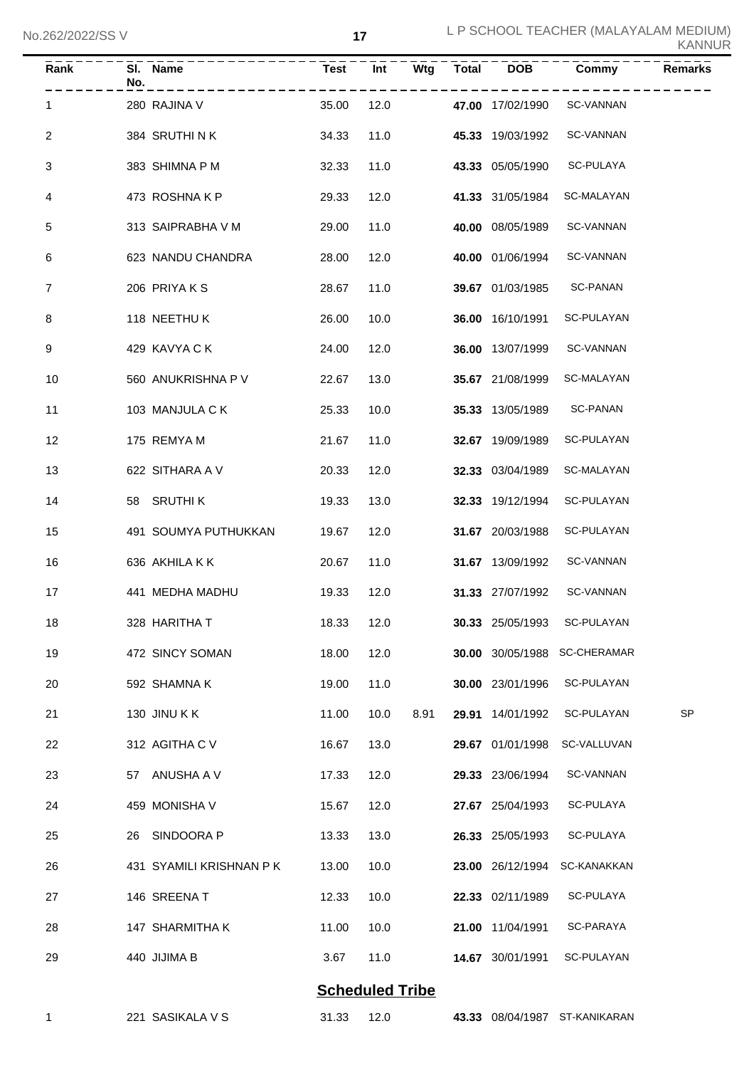| KANNUR |  |  |  |  |  |
|--------|--|--|--|--|--|
|--------|--|--|--|--|--|

| Rank | SI. Name<br>No.          | Test  | Int                    | Wtg  | Total | <b>DOB</b>       | Commy                         | <b>Remarks</b> |
|------|--------------------------|-------|------------------------|------|-------|------------------|-------------------------------|----------------|
| 1    | 280 RAJINA V             | 35.00 | 12.0                   |      |       | 47.00 17/02/1990 | SC-VANNAN                     |                |
| 2    | 384 SRUTHINK             | 34.33 | 11.0                   |      |       | 45.33 19/03/1992 | <b>SC-VANNAN</b>              |                |
| 3    | 383 SHIMNA P M           | 32.33 | 11.0                   |      |       | 43.33 05/05/1990 | SC-PULAYA                     |                |
| 4    | 473 ROSHNAKP             | 29.33 | 12.0                   |      |       | 41.33 31/05/1984 | SC-MALAYAN                    |                |
| 5    | 313 SAIPRABHA V M        | 29.00 | 11.0                   |      |       | 40.00 08/05/1989 | <b>SC-VANNAN</b>              |                |
| 6    | 623 NANDU CHANDRA        | 28.00 | 12.0                   |      |       | 40.00 01/06/1994 | SC-VANNAN                     |                |
| 7    | 206 PRIYAKS              | 28.67 | 11.0                   |      |       | 39.67 01/03/1985 | <b>SC-PANAN</b>               |                |
| 8    | 118 NEETHU K             | 26.00 | 10.0                   |      |       | 36.00 16/10/1991 | SC-PULAYAN                    |                |
| 9    | 429 KAVYA C K            | 24.00 | 12.0                   |      |       | 36.00 13/07/1999 | <b>SC-VANNAN</b>              |                |
| 10   | 560 ANUKRISHNA P V       | 22.67 | 13.0                   |      |       | 35.67 21/08/1999 | SC-MALAYAN                    |                |
| 11   | 103 MANJULA C K          | 25.33 | 10.0                   |      |       | 35.33 13/05/1989 | <b>SC-PANAN</b>               |                |
| 12   | 175 REMYA M              | 21.67 | 11.0                   |      |       | 32.67 19/09/1989 | SC-PULAYAN                    |                |
| 13   | 622 SITHARA A V          | 20.33 | 12.0                   |      |       | 32.33 03/04/1989 | SC-MALAYAN                    |                |
| 14   | SRUTHI K<br>58           | 19.33 | 13.0                   |      |       | 32.33 19/12/1994 | SC-PULAYAN                    |                |
| 15   | 491 SOUMYA PUTHUKKAN     | 19.67 | 12.0                   |      |       | 31.67 20/03/1988 | SC-PULAYAN                    |                |
| 16   | 636 AKHILA K K           | 20.67 | 11.0                   |      |       | 31.67 13/09/1992 | SC-VANNAN                     |                |
| 17   | 441 MEDHA MADHU          | 19.33 | 12.0                   |      |       | 31.33 27/07/1992 | <b>SC-VANNAN</b>              |                |
| 18   | 328 HARITHA T            | 18.33 | 12.0                   |      |       | 30.33 25/05/1993 | SC-PULAYAN                    |                |
| 19   | 472 SINCY SOMAN          | 18.00 | 12.0                   |      |       | 30.00 30/05/1988 | <b>SC-CHERAMAR</b>            |                |
| 20   | 592 SHAMNA K             | 19.00 | 11.0                   |      |       | 30.00 23/01/1996 | SC-PULAYAN                    |                |
| 21   | 130 JINU KK              | 11.00 | 10.0                   | 8.91 |       | 29.91 14/01/1992 | SC-PULAYAN                    | <b>SP</b>      |
| 22   | 312 AGITHA C V           | 16.67 | 13.0                   |      |       | 29.67 01/01/1998 | SC-VALLUVAN                   |                |
| 23   | ANUSHA A V<br>57         | 17.33 | 12.0                   |      |       | 29.33 23/06/1994 | <b>SC-VANNAN</b>              |                |
| 24   | 459 MONISHA V            | 15.67 | 12.0                   |      |       | 27.67 25/04/1993 | SC-PULAYA                     |                |
| 25   | SINDOORA P<br>26         | 13.33 | 13.0                   |      |       | 26.33 25/05/1993 | SC-PULAYA                     |                |
| 26   | 431 SYAMILI KRISHNAN P K | 13.00 | 10.0                   |      |       | 23.00 26/12/1994 | SC-KANAKKAN                   |                |
| 27   | 146 SREENA T             | 12.33 | 10.0                   |      |       | 22.33 02/11/1989 | SC-PULAYA                     |                |
| 28   | 147 SHARMITHA K          | 11.00 | 10.0                   |      |       | 21.00 11/04/1991 | SC-PARAYA                     |                |
| 29   | 440 JIJIMA B             | 3.67  | 11.0                   |      |       | 14.67 30/01/1991 | SC-PULAYAN                    |                |
|      |                          |       | <b>Scheduled Tribe</b> |      |       |                  |                               |                |
| 1    | 221 SASIKALA V S         | 31.33 | 12.0                   |      |       |                  | 43.33 08/04/1987 ST-KANIKARAN |                |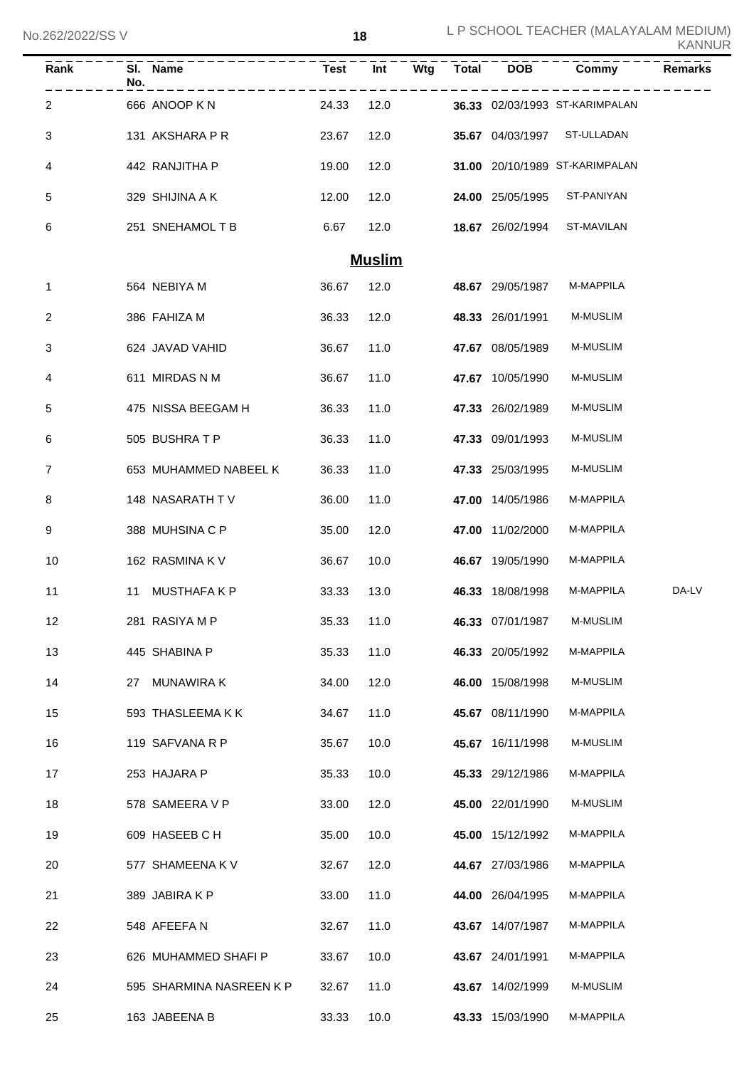No.262/2022/SS V

 L P SCHOOL TEACHER (MALAYALAM MEDIUM) KANNUR

| Rank | No. | SI. Name                 | <b>Test</b> | Int           | Wtg | <b>Total</b> | <b>DOB</b>       | Commy                          | <b>Remarks</b> |
|------|-----|--------------------------|-------------|---------------|-----|--------------|------------------|--------------------------------|----------------|
| 2    |     | 666 ANOOP KN             | 24.33       | 12.0          |     |              |                  | 36.33 02/03/1993 ST-KARIMPALAN |                |
| 3    |     | 131 AKSHARA P R          | 23.67       | 12.0          |     |              | 35.67 04/03/1997 | ST-ULLADAN                     |                |
| 4    |     | 442 RANJITHA P           | 19.00       | 12.0          |     |              |                  | 31.00 20/10/1989 ST-KARIMPALAN |                |
| 5    |     | 329 SHIJINA A K          | 12.00       | 12.0          |     |              | 24.00 25/05/1995 | ST-PANIYAN                     |                |
| 6    |     | 251 SNEHAMOL T B         | 6.67        | 12.0          |     |              | 18.67 26/02/1994 | ST-MAVILAN                     |                |
|      |     |                          |             | <b>Muslim</b> |     |              |                  |                                |                |
| 1    |     | 564 NEBIYA M             | 36.67       | 12.0          |     |              | 48.67 29/05/1987 | M-MAPPILA                      |                |
| 2    |     | 386 FAHIZA M             | 36.33       | 12.0          |     |              | 48.33 26/01/1991 | M-MUSLIM                       |                |
| 3    |     | 624 JAVAD VAHID          | 36.67       | 11.0          |     |              | 47.67 08/05/1989 | M-MUSLIM                       |                |
| 4    |     | 611 MIRDAS N M           | 36.67       | 11.0          |     |              | 47.67 10/05/1990 | M-MUSLIM                       |                |
| 5    |     | 475 NISSA BEEGAM H       | 36.33       | 11.0          |     |              | 47.33 26/02/1989 | M-MUSLIM                       |                |
| 6    |     | 505 BUSHRATP             | 36.33       | 11.0          |     |              | 47.33 09/01/1993 | M-MUSLIM                       |                |
| 7    |     | 653 MUHAMMED NABEEL K    | 36.33       | 11.0          |     |              | 47.33 25/03/1995 | M-MUSLIM                       |                |
| 8    |     | 148 NASARATH TV          | 36.00       | 11.0          |     |              | 47.00 14/05/1986 | M-MAPPILA                      |                |
| 9    |     | 388 MUHSINA C P          | 35.00       | 12.0          |     |              | 47.00 11/02/2000 | M-MAPPILA                      |                |
| 10   |     | 162 RASMINA K V          | 36.67       | 10.0          |     |              | 46.67 19/05/1990 | M-MAPPILA                      |                |
| 11   | 11  | <b>MUSTHAFAKP</b>        | 33.33       | 13.0          |     |              | 46.33 18/08/1998 | M-MAPPILA                      | DA-LV          |
| 12   |     | 281 RASIYA M P           | 35.33       | 11.0          |     |              | 46.33 07/01/1987 | M-MUSLIM                       |                |
| 13   |     | 445 SHABINA P            | 35.33       | 11.0          |     |              | 46.33 20/05/1992 | M-MAPPILA                      |                |
| 14   |     | 27 MUNAWIRA K            | 34.00       | 12.0          |     |              | 46.00 15/08/1998 | M-MUSLIM                       |                |
| 15   |     | 593 THASLEEMAKK          | 34.67       | 11.0          |     |              | 45.67 08/11/1990 | M-MAPPILA                      |                |
| 16   |     | 119 SAFVANA R P          | 35.67       | 10.0          |     |              | 45.67 16/11/1998 | M-MUSLIM                       |                |
| 17   |     | 253 HAJARA P             | 35.33       | 10.0          |     |              | 45.33 29/12/1986 | M-MAPPILA                      |                |
| 18   |     | 578 SAMEERA V P          | 33.00       | 12.0          |     |              | 45.00 22/01/1990 | M-MUSLIM                       |                |
| 19   |     | 609 HASEEB C H           | 35.00       | 10.0          |     |              | 45.00 15/12/1992 | M-MAPPILA                      |                |
| 20   |     | 577 SHAMEENA K V         | 32.67       | 12.0          |     |              | 44.67 27/03/1986 | M-MAPPILA                      |                |
| 21   |     | 389 JABIRA K P           | 33.00       | 11.0          |     |              | 44.00 26/04/1995 | M-MAPPILA                      |                |
| 22   |     | 548 AFEEFAN              | 32.67       | 11.0          |     |              | 43.67 14/07/1987 | M-MAPPILA                      |                |
| 23   |     | 626 MUHAMMED SHAFI P     | 33.67       | 10.0          |     |              | 43.67 24/01/1991 | M-MAPPILA                      |                |
| 24   |     | 595 SHARMINA NASREEN K P | 32.67       | 11.0          |     |              | 43.67 14/02/1999 | M-MUSLIM                       |                |
| 25   |     | 163 JABEENA B            | 33.33       | 10.0          |     |              | 43.33 15/03/1990 | M-MAPPILA                      |                |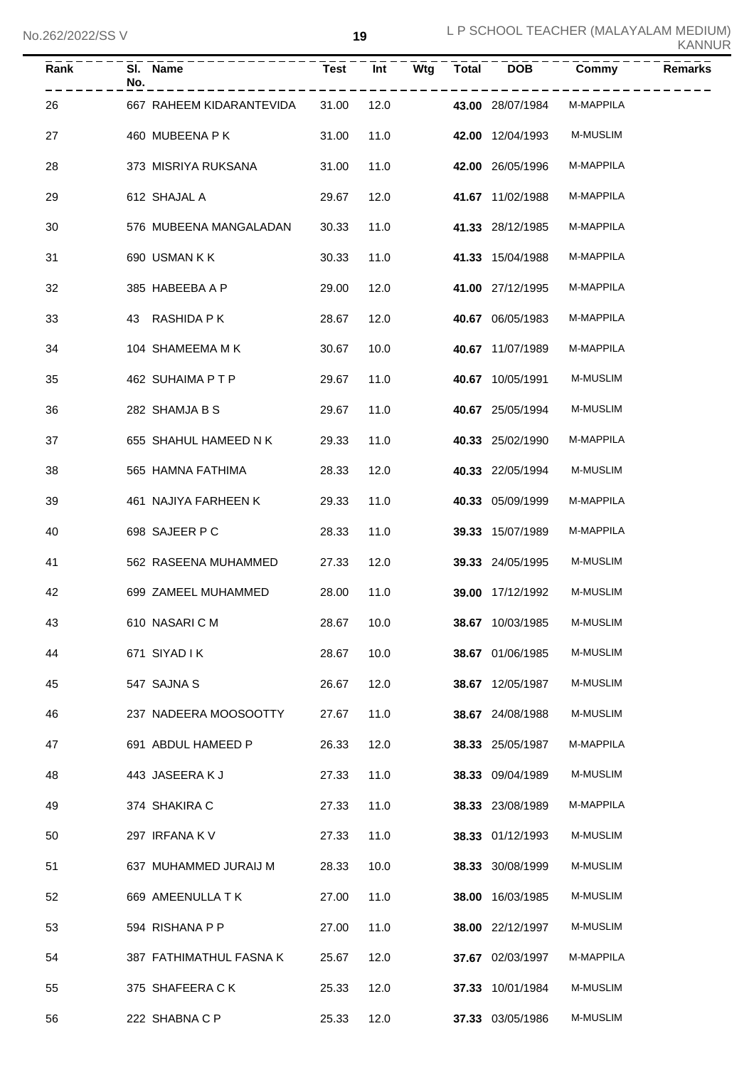| Rank | No. | SI. Name                 | Test       | Int  | Wtg | Total | <b>DOB</b>       | Commy           | <b>Remarks</b> |
|------|-----|--------------------------|------------|------|-----|-------|------------------|-----------------|----------------|
| 26   |     | 667 RAHEEM KIDARANTEVIDA | 31.00      | 12.0 |     |       | 43.00 28/07/1984 | M-MAPPILA       |                |
| 27   |     | 460 MUBEENA P K          | 31.00      | 11.0 |     |       | 42.00 12/04/1993 | M-MUSLIM        |                |
| 28   |     | 373 MISRIYA RUKSANA      | 31.00      | 11.0 |     |       | 42.00 26/05/1996 | M-MAPPILA       |                |
| 29   |     | 612 SHAJAL A             | 29.67      | 12.0 |     |       | 41.67 11/02/1988 | M-MAPPILA       |                |
| 30   |     | 576 MUBEENA MANGALADAN   | 30.33      | 11.0 |     |       | 41.33 28/12/1985 | M-MAPPILA       |                |
| 31   |     | 690 USMAN K K            | 30.33      | 11.0 |     |       | 41.33 15/04/1988 | M-MAPPILA       |                |
| 32   |     | 385 HABEEBA A P          | 29.00      | 12.0 |     |       | 41.00 27/12/1995 | M-MAPPILA       |                |
| 33   |     | 43 RASHIDA P K           | 28.67      | 12.0 |     |       | 40.67 06/05/1983 | M-MAPPILA       |                |
| 34   |     | 104 SHAMEEMA M K         | 30.67      | 10.0 |     |       | 40.67 11/07/1989 | M-MAPPILA       |                |
| 35   |     | 462 SUHAIMA PTP          | 29.67      | 11.0 |     |       | 40.67 10/05/1991 | M-MUSLIM        |                |
| 36   |     | 282 SHAMJA B S           | 29.67      | 11.0 |     |       | 40.67 25/05/1994 | M-MUSLIM        |                |
| 37   |     | 655 SHAHUL HAMEED N K    | 29.33      | 11.0 |     |       | 40.33 25/02/1990 | M-MAPPILA       |                |
| 38   |     | 565 HAMNA FATHIMA        | 28.33      | 12.0 |     |       | 40.33 22/05/1994 | M-MUSLIM        |                |
| 39   |     | 461 NAJIYA FARHEEN K     | 29.33      | 11.0 |     |       | 40.33 05/09/1999 | M-MAPPILA       |                |
| 40   |     | 698 SAJEER P C           | 28.33      | 11.0 |     |       | 39.33 15/07/1989 | M-MAPPILA       |                |
| 41   |     | 562 RASEENA MUHAMMED     | 27.33      | 12.0 |     |       | 39.33 24/05/1995 | M-MUSLIM        |                |
| 42   |     | 699 ZAMEEL MUHAMMED      | 28.00      | 11.0 |     |       | 39.00 17/12/1992 | M-MUSLIM        |                |
| 43   |     | 610 NASARI C M           | 28.67 10.0 |      |     |       | 38.67 10/03/1985 | M-MUSLIM        |                |
| 44   |     | 671 SIYAD I K            | 28.67      | 10.0 |     |       | 38.67 01/06/1985 | M-MUSLIM        |                |
| 45   |     | 547 SAJNA S              | 26.67      | 12.0 |     |       | 38.67 12/05/1987 | <b>M-MUSLIM</b> |                |
| 46   |     | 237 NADEERA MOOSOOTTY    | 27.67      | 11.0 |     |       | 38.67 24/08/1988 | M-MUSLIM        |                |
| 47   |     | 691 ABDUL HAMEED P       | 26.33      | 12.0 |     |       | 38.33 25/05/1987 | M-MAPPILA       |                |
| 48   |     | 443 JASEERAKJ            | 27.33      | 11.0 |     |       | 38.33 09/04/1989 | M-MUSLIM        |                |
| 49   |     | 374 SHAKIRA C            | 27.33      | 11.0 |     |       | 38.33 23/08/1989 | M-MAPPILA       |                |
| 50   |     | 297 IRFANA K V           | 27.33      | 11.0 |     |       | 38.33 01/12/1993 | M-MUSLIM        |                |
| 51   |     | 637 MUHAMMED JURAIJ M    | 28.33      | 10.0 |     |       | 38.33 30/08/1999 | M-MUSLIM        |                |
| 52   |     | 669 AMEENULLA TK         | 27.00      | 11.0 |     |       | 38.00 16/03/1985 | M-MUSLIM        |                |
| 53   |     | 594 RISHANA P P          | 27.00      | 11.0 |     |       | 38.00 22/12/1997 | M-MUSLIM        |                |
| 54   |     | 387 FATHIMATHUL FASNA K  | 25.67      | 12.0 |     |       | 37.67 02/03/1997 | M-MAPPILA       |                |
| 55   |     | 375 SHAFEERA C K         | 25.33      | 12.0 |     |       | 37.33 10/01/1984 | M-MUSLIM        |                |
| 56   |     | 222 SHABNA C P           | 25.33      | 12.0 |     |       | 37.33 03/05/1986 | M-MUSLIM        |                |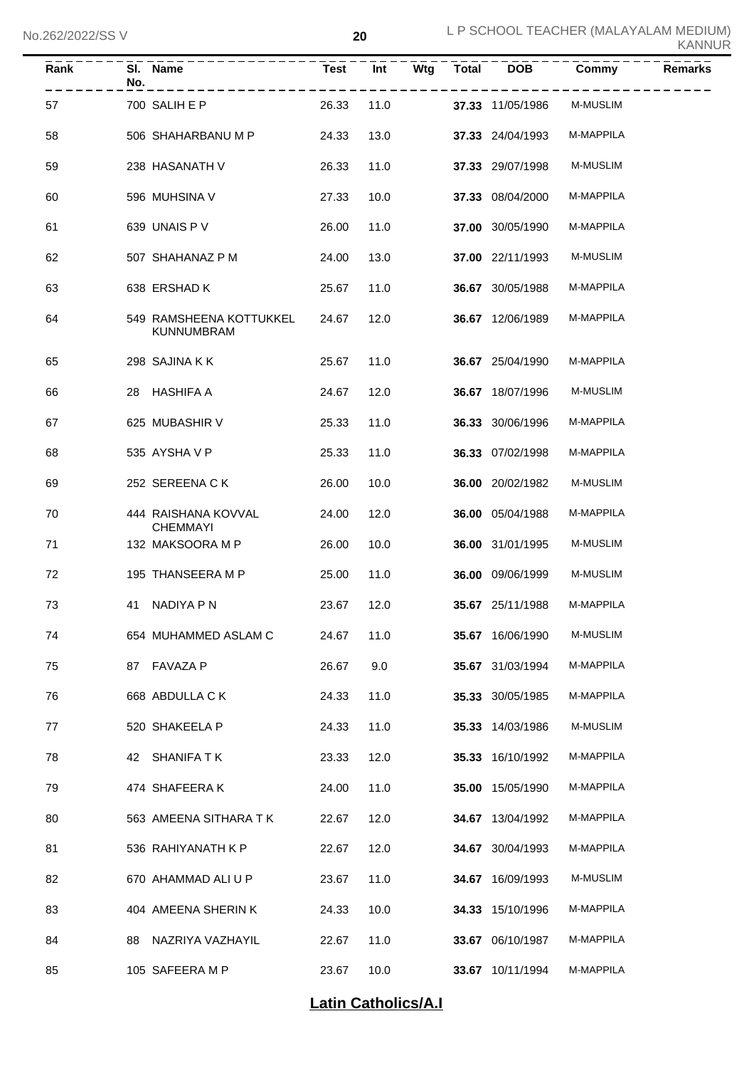| Rank | No. | SI. Name<br>----------                       | Test  | $\overline{Int}$ | Wtg | <b>Total</b> | <b>DOB</b>       | Commy     | <b>Remarks</b> |
|------|-----|----------------------------------------------|-------|------------------|-----|--------------|------------------|-----------|----------------|
| 57   |     | 700 SALIH E P                                | 26.33 | 11.0             |     |              | 37.33 11/05/1986 | M-MUSLIM  |                |
| 58   |     | 506 SHAHARBANU M P                           | 24.33 | 13.0             |     |              | 37.33 24/04/1993 | M-MAPPILA |                |
| 59   |     | 238 HASANATH V                               | 26.33 | 11.0             |     |              | 37.33 29/07/1998 | M-MUSLIM  |                |
| 60   |     | 596 MUHSINA V                                | 27.33 | 10.0             |     |              | 37.33 08/04/2000 | M-MAPPILA |                |
| 61   |     | 639 UNAIS P V                                | 26.00 | 11.0             |     |              | 37.00 30/05/1990 | M-MAPPILA |                |
| 62   |     | 507 SHAHANAZ P M                             | 24.00 | 13.0             |     |              | 37.00 22/11/1993 | M-MUSLIM  |                |
| 63   |     | 638 ERSHAD K                                 | 25.67 | 11.0             |     |              | 36.67 30/05/1988 | M-MAPPILA |                |
| 64   |     | 549 RAMSHEENA KOTTUKKEL<br><b>KUNNUMBRAM</b> | 24.67 | 12.0             |     |              | 36.67 12/06/1989 | M-MAPPILA |                |
| 65   |     | 298 SAJINA KK                                | 25.67 | 11.0             |     |              | 36.67 25/04/1990 | M-MAPPILA |                |
| 66   |     | 28 HASHIFA A                                 | 24.67 | 12.0             |     |              | 36.67 18/07/1996 | M-MUSLIM  |                |
| 67   |     | 625 MUBASHIR V                               | 25.33 | 11.0             |     |              | 36.33 30/06/1996 | M-MAPPILA |                |
| 68   |     | 535 AYSHAVP                                  | 25.33 | 11.0             |     |              | 36.33 07/02/1998 | M-MAPPILA |                |
| 69   |     | 252 SEREENA CK                               | 26.00 | 10.0             |     |              | 36.00 20/02/1982 | M-MUSLIM  |                |
| 70   |     | 444 RAISHANA KOVVAL<br><b>CHEMMAYI</b>       | 24.00 | 12.0             |     |              | 36.00 05/04/1988 | M-MAPPILA |                |
| 71   |     | 132 MAKSOORA M P                             | 26.00 | 10.0             |     |              | 36.00 31/01/1995 | M-MUSLIM  |                |
| 72   |     | 195 THANSEERA M P                            | 25.00 | 11.0             |     |              | 36.00 09/06/1999 | M-MUSLIM  |                |
| 73   |     | 41 NADIYA P N                                | 23.67 | 12.0             |     |              | 35.67 25/11/1988 | M-MAPPILA |                |
| 74   |     | 654 MUHAMMED ASLAM C                         | 24.67 | 11.0             |     |              | 35.67 16/06/1990 | M-MUSLIM  |                |
| 75   |     | 87 FAVAZA P                                  | 26.67 | 9.0              |     |              | 35.67 31/03/1994 | M-MAPPILA |                |
| 76   |     | 668 ABDULLA C K                              | 24.33 | 11.0             |     |              | 35.33 30/05/1985 | M-MAPPILA |                |
| 77   |     | 520 SHAKEELA P                               | 24.33 | 11.0             |     |              | 35.33 14/03/1986 | M-MUSLIM  |                |
| 78   | 42  | SHANIFA T K                                  | 23.33 | 12.0             |     |              | 35.33 16/10/1992 | M-MAPPILA |                |
| 79   |     | 474 SHAFEERAK                                | 24.00 | 11.0             |     |              | 35.00 15/05/1990 | M-MAPPILA |                |
| 80   |     | 563 AMEENA SITHARA T K                       | 22.67 | 12.0             |     |              | 34.67 13/04/1992 | M-MAPPILA |                |
| 81   |     | 536 RAHIYANATH K P                           | 22.67 | 12.0             |     |              | 34.67 30/04/1993 | M-MAPPILA |                |
| 82   |     | 670 AHAMMAD ALI U P                          | 23.67 | 11.0             |     |              | 34.67 16/09/1993 | M-MUSLIM  |                |
| 83   |     | 404 AMEENA SHERIN K                          | 24.33 | 10.0             |     |              | 34.33 15/10/1996 | M-MAPPILA |                |
| 84   | 88  | NAZRIYA VAZHAYIL                             | 22.67 | 11.0             |     |              | 33.67 06/10/1987 | M-MAPPILA |                |
| 85   |     | 105 SAFEERA M P                              | 23.67 | 10.0             |     |              | 33.67 10/11/1994 | M-MAPPILA |                |

### **Latin Catholics/A.I**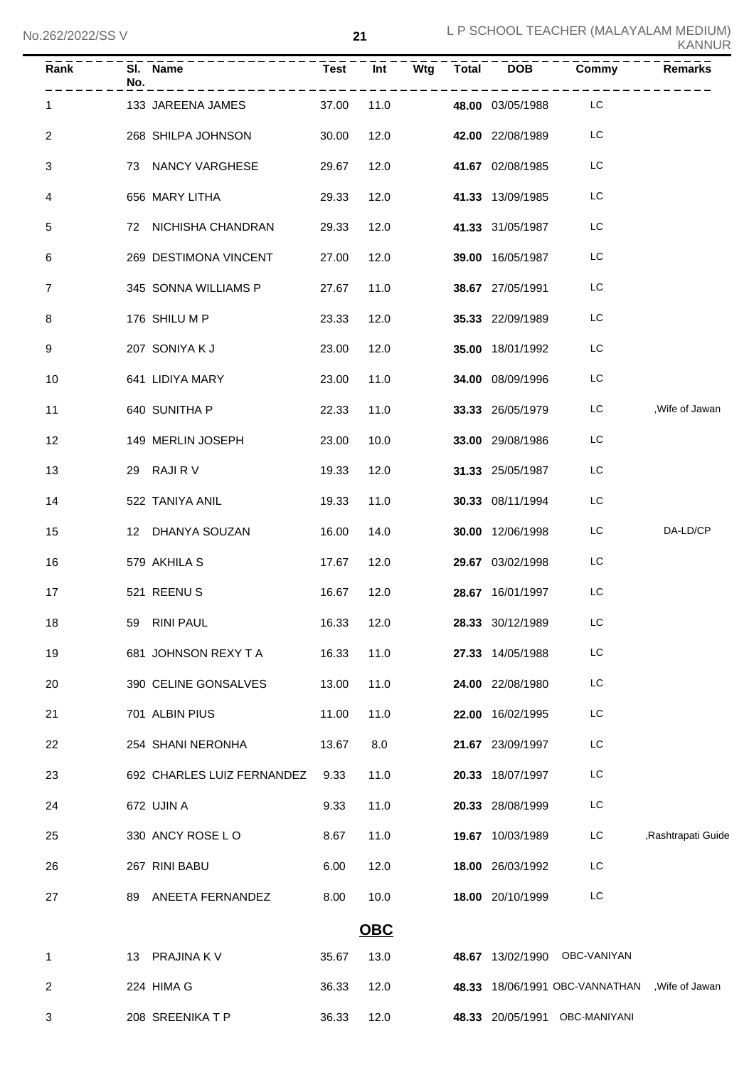| $\overline{\mathsf{Rank}}$ | No. | SI. Name<br>-------------- |            |            |  |                  | Commy                                         | <b>Remarks</b>     |
|----------------------------|-----|----------------------------|------------|------------|--|------------------|-----------------------------------------------|--------------------|
| 1.                         |     | 133 JAREENA JAMES          | 37.00      | 11.0       |  | 48.00 03/05/1988 | ------<br>LC                                  |                    |
| $\overline{2}$             |     | 268 SHILPA JOHNSON         | 30.00      | 12.0       |  | 42.00 22/08/1989 | LC                                            |                    |
| 3                          |     | 73 NANCY VARGHESE          | 29.67      | 12.0       |  | 41.67 02/08/1985 | LC                                            |                    |
| 4                          |     | 656 MARY LITHA             | 29.33      | 12.0       |  | 41.33 13/09/1985 | LC                                            |                    |
| 5                          |     | 72 NICHISHA CHANDRAN       | 29.33      | 12.0       |  | 41.33 31/05/1987 | LC                                            |                    |
| 6                          |     | 269 DESTIMONA VINCENT      | 27.00      | 12.0       |  | 39.00 16/05/1987 | LC                                            |                    |
| $\overline{7}$             |     | 345 SONNA WILLIAMS P       | 27.67      | 11.0       |  | 38.67 27/05/1991 | LC                                            |                    |
| 8                          |     | 176 SHILU M P              | 23.33      | 12.0       |  | 35.33 22/09/1989 | LC                                            |                    |
| 9                          |     | 207 SONIYA K J             | 23.00      | 12.0       |  | 35.00 18/01/1992 | LC                                            |                    |
| 10                         |     | 641 LIDIYA MARY            | 23.00      | 11.0       |  | 34.00 08/09/1996 | LC                                            |                    |
| 11                         |     | 640 SUNITHA P              | 22.33      | 11.0       |  | 33.33 26/05/1979 | LC.                                           | , Wife of Jawan    |
| 12                         |     | 149 MERLIN JOSEPH          | 23.00      | 10.0       |  | 33.00 29/08/1986 | LC                                            |                    |
| 13                         |     | 29 RAJIRV                  | 19.33      | 12.0       |  | 31.33 25/05/1987 | LC                                            |                    |
| 14                         |     | 522 TANIYA ANIL            | 19.33      | 11.0       |  | 30.33 08/11/1994 | LC                                            |                    |
| 15                         |     | 12 DHANYA SOUZAN           | 16.00      | 14.0       |  | 30.00 12/06/1998 | LC.                                           | DA-LD/CP           |
| 16                         |     | 579 AKHILA S               | 17.67      | 12.0       |  | 29.67 03/02/1998 | LC                                            |                    |
| 17                         |     | 521 REENUS                 | 16.67      | 12.0       |  | 28.67 16/01/1997 | LC                                            |                    |
| 18                         |     | 59 RINI PAUL               | 16.33 12.0 |            |  | 28.33 30/12/1989 | LC.                                           |                    |
| 19                         |     | 681 JOHNSON REXY T A       | 16.33      | 11.0       |  | 27.33 14/05/1988 | LC                                            |                    |
| 20                         |     | 390 CELINE GONSALVES       | 13.00      | 11.0       |  | 24.00 22/08/1980 | LC                                            |                    |
| 21                         |     | 701 ALBIN PIUS             | 11.00      | 11.0       |  | 22.00 16/02/1995 | LC                                            |                    |
| 22                         |     | 254 SHANI NERONHA          | 13.67      | 8.0        |  | 21.67 23/09/1997 | LC                                            |                    |
| 23                         |     | 692 CHARLES LUIZ FERNANDEZ | 9.33       | 11.0       |  | 20.33 18/07/1997 | LC                                            |                    |
| 24                         |     | 672 UJIN A                 | 9.33       | 11.0       |  | 20.33 28/08/1999 | LC                                            |                    |
| 25                         |     | 330 ANCY ROSE LO           | 8.67       | 11.0       |  | 19.67 10/03/1989 | LC                                            | ,Rashtrapati Guide |
| 26                         |     | 267 RINI BABU              | 6.00       | 12.0       |  | 18.00 26/03/1992 | LC                                            |                    |
| 27                         |     | 89 ANEETA FERNANDEZ        | 8.00       | 10.0       |  | 18.00 20/10/1999 | LC                                            |                    |
|                            |     |                            |            | <b>OBC</b> |  |                  |                                               |                    |
| 1                          |     | 13 PRAJINA K V             | 35.67      | 13.0       |  |                  | 48.67 13/02/1990 OBC-VANIYAN                  |                    |
| 2                          |     | 224 HIMA G                 | 36.33      | 12.0       |  |                  | 48.33 18/06/1991 OBC-VANNATHAN, Wife of Jawan |                    |
| 3                          |     | 208 SREENIKA T P           | 36.33      | 12.0       |  |                  | 48.33 20/05/1991 OBC-MANIYANI                 |                    |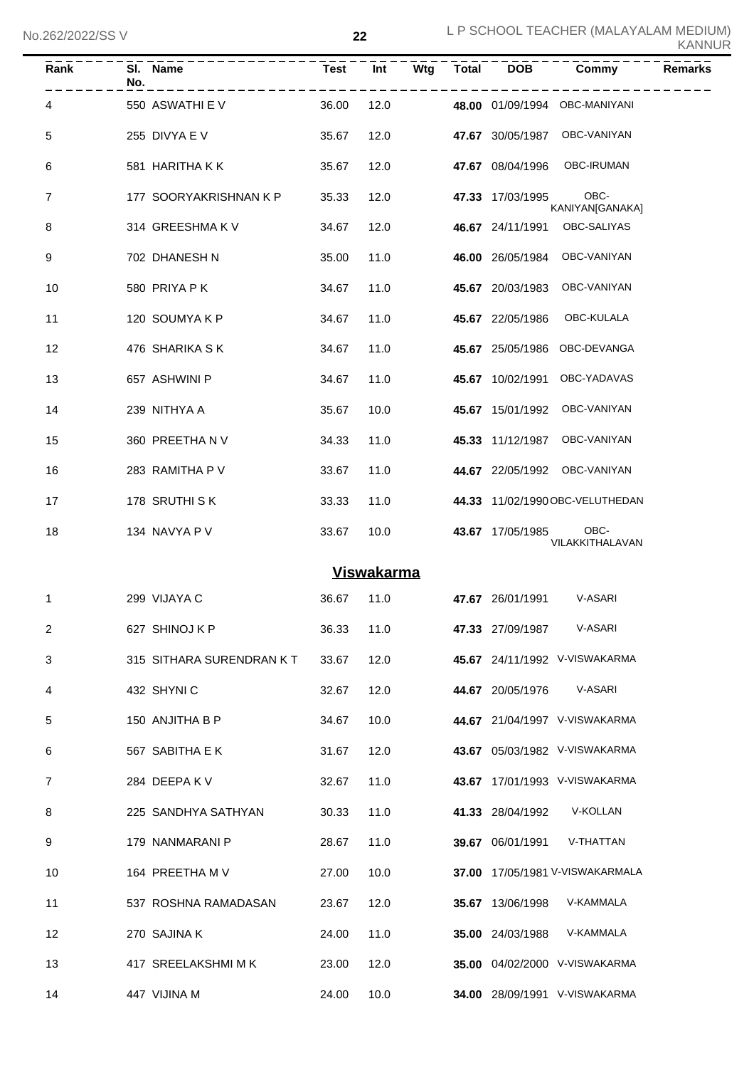| Rank | SI. Name<br>No.          | <b>Test</b> | Int               | Wtg | <b>Total</b> | <b>DOB</b>       | Commy                           | <b>Remarks</b> |
|------|--------------------------|-------------|-------------------|-----|--------------|------------------|---------------------------------|----------------|
| 4    | 550 ASWATHI E V          | 36.00       | 12.0              |     |              |                  | 48.00 01/09/1994 OBC-MANIYANI   |                |
| 5    | 255 DIVYA E V            | 35.67       | 12.0              |     |              |                  | 47.67 30/05/1987 OBC-VANIYAN    |                |
| 6    | 581 HARITHA K K          | 35.67       | 12.0              |     |              | 47.67 08/04/1996 | OBC-IRUMAN                      |                |
| 7    | 177 SOORYAKRISHNAN K P   | 35.33       | 12.0              |     |              | 47.33 17/03/1995 | OBC-<br>KANIYAN[GANAKA]         |                |
| 8    | 314 GREESHMAKV           | 34.67       | 12.0              |     |              | 46.67 24/11/1991 | OBC-SALIYAS                     |                |
| 9    | 702 DHANESH N            | 35.00       | 11.0              |     |              | 46.00 26/05/1984 | OBC-VANIYAN                     |                |
| 10   | 580 PRIYA PK             | 34.67       | 11.0              |     |              | 45.67 20/03/1983 | OBC-VANIYAN                     |                |
| 11   | 120 SOUMYAKP             | 34.67       | 11.0              |     |              | 45.67 22/05/1986 | OBC-KULALA                      |                |
| 12   | 476 SHARIKA S K          | 34.67       | 11.0              |     |              |                  | 45.67 25/05/1986 OBC-DEVANGA    |                |
| 13   | 657 ASHWINI P            | 34.67       | 11.0              |     |              | 45.67 10/02/1991 | OBC-YADAVAS                     |                |
| 14   | 239 NITHYA A             | 35.67       | 10.0              |     |              | 45.67 15/01/1992 | OBC-VANIYAN                     |                |
| 15   | 360 PREETHA N V          | 34.33       | 11.0              |     |              |                  | 45.33 11/12/1987 OBC-VANIYAN    |                |
| 16   | 283 RAMITHA P V          | 33.67       | 11.0              |     |              |                  | 44.67 22/05/1992 OBC-VANIYAN    |                |
| 17   | 178 SRUTHI S K           | 33.33       | 11.0              |     |              |                  | 44.33 11/02/1990 OBC-VELUTHEDAN |                |
| 18   | 134 NAVYA P V            | 33.67       | 10.0              |     |              | 43.67 17/05/1985 | OBC-<br>VILAKKITHALAVAN         |                |
|      |                          |             | <b>Viswakarma</b> |     |              |                  |                                 |                |
| 1    | 299 VIJAYA C             | 36.67       | 11.0              |     |              | 47.67 26/01/1991 | V-ASARI                         |                |
| 2    | 627 SHINOJ K P           | 36.33       | 11.0              |     |              | 47.33 27/09/1987 | V-ASARI                         |                |
| 3    | 315 SITHARA SURENDRAN KT | 33.67       | 12.0              |     |              |                  | 45.67 24/11/1992 V-VISWAKARMA   |                |
| 4    | 432 SHYNIC               | 32.67       | 12.0              |     |              | 44.67 20/05/1976 | V-ASARI                         |                |
| 5    | 150 ANJITHA B P          | 34.67       | 10.0              |     |              |                  | 44.67 21/04/1997 V-VISWAKARMA   |                |
| 6    | 567 SABITHA E K          | 31.67       | 12.0              |     |              |                  | 43.67 05/03/1982 V-VISWAKARMA   |                |
| 7    | 284 DEEPAKV              | 32.67       | 11.0              |     |              |                  | 43.67 17/01/1993 V-VISWAKARMA   |                |
| 8    | 225 SANDHYA SATHYAN      | 30.33       | 11.0              |     |              | 41.33 28/04/1992 | V-KOLLAN                        |                |
| 9    | 179 NANMARANI P          | 28.67       | 11.0              |     |              | 39.67 06/01/1991 | V-THATTAN                       |                |
| 10   | 164 PREETHA M V          | 27.00       | 10.0              |     |              |                  | 37.00 17/05/1981 V-VISWAKARMALA |                |
| 11   | 537 ROSHNA RAMADASAN     | 23.67       | 12.0              |     |              | 35.67 13/06/1998 | V-KAMMALA                       |                |
| 12   | 270 SAJINA K             | 24.00       | 11.0              |     |              | 35.00 24/03/1988 | V-KAMMALA                       |                |
| 13   | 417 SREELAKSHMI M K      | 23.00       | 12.0              |     |              |                  | 35.00 04/02/2000 V-VISWAKARMA   |                |
| 14   | 447 VIJINA M             | 24.00       | 10.0              |     |              |                  | 34.00 28/09/1991 V-VISWAKARMA   |                |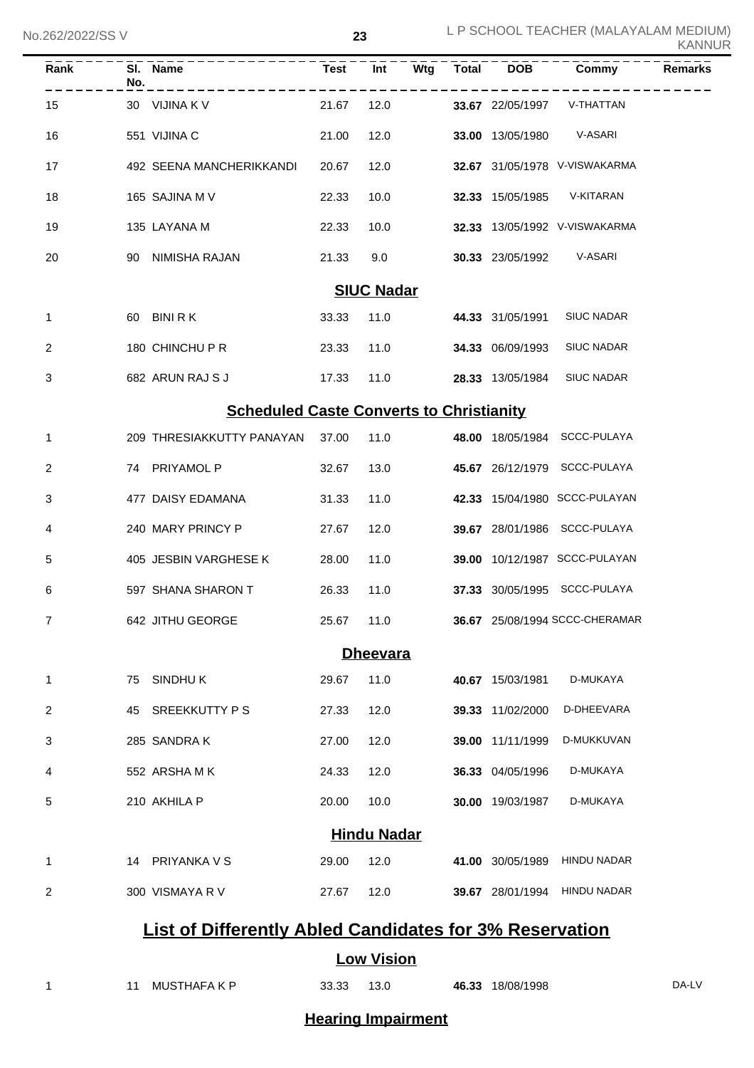| Rank              | No. | SI. Name                                                       | <b>Test</b> | Int                | Wtg | <b>Total</b> | <b>DOB</b>       | Commy                          | <b>Remarks</b> |  |
|-------------------|-----|----------------------------------------------------------------|-------------|--------------------|-----|--------------|------------------|--------------------------------|----------------|--|
| 15                |     | 30 VIJINA K V                                                  | 21.67       | 12.0               |     |              | 33.67 22/05/1997 | V-THATTAN                      |                |  |
| 16                |     | 551 VIJINA C                                                   | 21.00       | 12.0               |     |              | 33.00 13/05/1980 | V-ASARI                        |                |  |
| 17                |     | 492 SEENA MANCHERIKKANDI                                       | 20.67       | 12.0               |     |              |                  | 32.67 31/05/1978 V-VISWAKARMA  |                |  |
| 18                |     | 165 SAJINA M V                                                 | 22.33       | 10.0               |     |              | 32.33 15/05/1985 | V-KITARAN                      |                |  |
| 19                |     | 135 LAYANA M                                                   | 22.33       | 10.0               |     |              |                  | 32.33 13/05/1992 V-VISWAKARMA  |                |  |
| 20                | 90  | NIMISHA RAJAN                                                  | 21.33       | 9.0                |     |              | 30.33 23/05/1992 | V-ASARI                        |                |  |
| <b>SIUC Nadar</b> |     |                                                                |             |                    |     |              |                  |                                |                |  |
| 1                 |     | 60 BINIRK                                                      | 33.33       | 11.0               |     |              | 44.33 31/05/1991 | <b>SIUC NADAR</b>              |                |  |
| 2                 |     | 180 CHINCHU P R                                                | 23.33       | 11.0               |     |              | 34.33 06/09/1993 | <b>SIUC NADAR</b>              |                |  |
| 3                 |     | 682 ARUN RAJ S J                                               | 17.33       | 11.0               |     |              | 28.33 13/05/1984 | <b>SIUC NADAR</b>              |                |  |
|                   |     | <b>Scheduled Caste Converts to Christianity</b>                |             |                    |     |              |                  |                                |                |  |
| 1                 |     | 209 THRESIAKKUTTY PANAYAN                                      | 37.00       | 11.0               |     |              |                  | 48.00 18/05/1984 SCCC-PULAYA   |                |  |
| 2                 |     | 74 PRIYAMOL P                                                  | 32.67       | 13.0               |     |              |                  | 45.67 26/12/1979 SCCC-PULAYA   |                |  |
| 3                 |     | 477 DAISY EDAMANA                                              | 31.33       | 11.0               |     |              |                  | 42.33 15/04/1980 SCCC-PULAYAN  |                |  |
| 4                 |     | 240 MARY PRINCY P                                              | 27.67       | 12.0               |     |              |                  | 39.67 28/01/1986 SCCC-PULAYA   |                |  |
| 5                 |     | 405 JESBIN VARGHESE K                                          | 28.00       | 11.0               |     |              |                  | 39.00 10/12/1987 SCCC-PULAYAN  |                |  |
| 6                 |     | 597 SHANA SHARON T                                             | 26.33       | 11.0               |     |              |                  | 37.33 30/05/1995 SCCC-PULAYA   |                |  |
| 7                 |     | 642 JITHU GEORGE                                               | 25.67 11.0  |                    |     |              |                  | 36.67 25/08/1994 SCCC-CHERAMAR |                |  |
| <b>Dheevara</b>   |     |                                                                |             |                    |     |              |                  |                                |                |  |
| 1                 | 75  | SINDHUK                                                        | 29.67       | 11.0               |     |              | 40.67 15/03/1981 | D-MUKAYA                       |                |  |
| 2                 |     | 45 SREEKKUTTY PS                                               | 27.33       | 12.0               |     |              | 39.33 11/02/2000 | D-DHEEVARA                     |                |  |
| 3                 |     | 285 SANDRAK                                                    | 27.00       | 12.0               |     |              | 39.00 11/11/1999 | D-MUKKUVAN                     |                |  |
| 4                 |     | 552 ARSHAMK                                                    | 24.33       | 12.0               |     |              | 36.33 04/05/1996 | D-MUKAYA                       |                |  |
| 5                 |     | 210 AKHILA P                                                   | 20.00       | 10.0               |     |              | 30.00 19/03/1987 | D-MUKAYA                       |                |  |
|                   |     |                                                                |             | <b>Hindu Nadar</b> |     |              |                  |                                |                |  |
| 1                 |     | 14 PRIYANKA V S                                                | 29.00       | 12.0               |     |              | 41.00 30/05/1989 | <b>HINDU NADAR</b>             |                |  |
| 2                 |     | 300 VISMAYA R V                                                | 27.67       | 12.0               |     |              |                  | 39.67 28/01/1994 HINDU NADAR   |                |  |
|                   |     | <b>List of Differently Abled Candidates for 3% Reservation</b> |             |                    |     |              |                  |                                |                |  |
|                   |     |                                                                |             | <b>Low Vision</b>  |     |              |                  |                                |                |  |
| 1                 | 11  | <b>MUSTHAFAKP</b>                                              | 33.33       | 13.0               |     |              | 46.33 18/08/1998 |                                | DA-LV          |  |

**Hearing Impairment**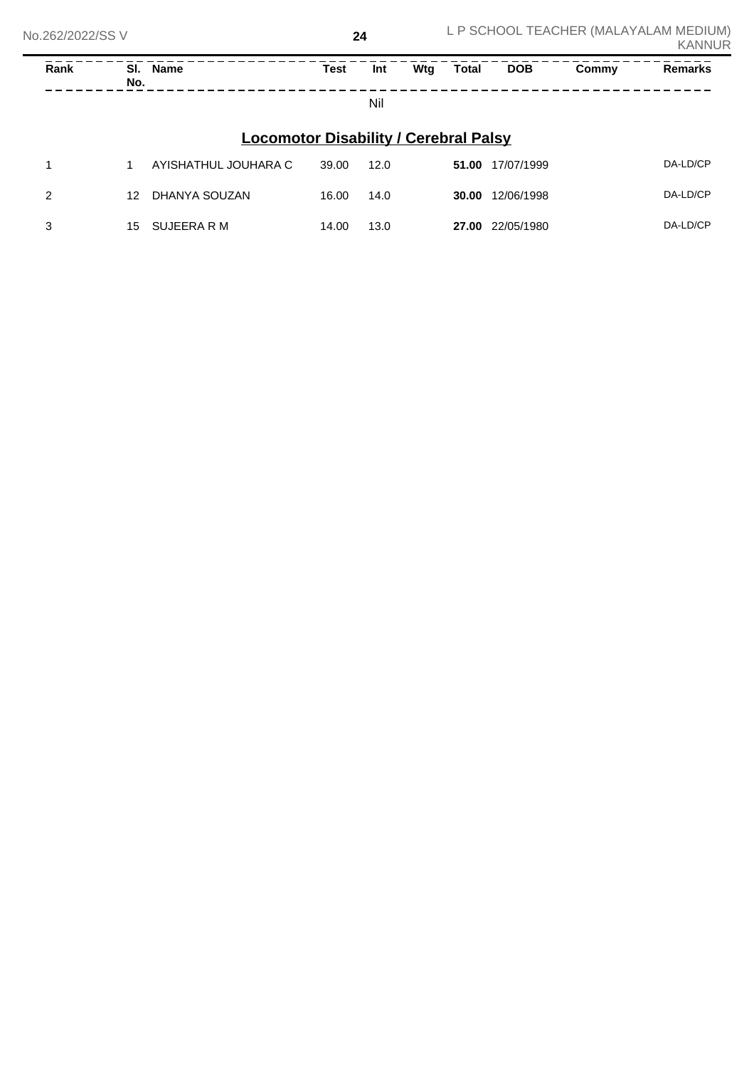| Rank                                         | SI.<br>No. | Name                 | Test  | Int  | Wtg | Total | <b>DOB</b> | Commy | <b>Remarks</b> |
|----------------------------------------------|------------|----------------------|-------|------|-----|-------|------------|-------|----------------|
|                                              |            |                      |       | Nil  |     |       |            |       |                |
| <b>Locomotor Disability / Cerebral Palsy</b> |            |                      |       |      |     |       |            |       |                |
|                                              |            | AYISHATHUL JOUHARA C | 39.00 | 12.0 |     | 51.00 | 17/07/1999 |       | DA-LD/CP       |

| 2 | 12 | DHANYA SOUZAN  | 16.00 | 14.0 | 30.00 | 12/06/1998 | DA-LD/CP |
|---|----|----------------|-------|------|-------|------------|----------|
| 3 |    | 15 SUJEERA R M | 14.00 | 13.0 | 27.00 | 22/05/1980 | DA-LD/CP |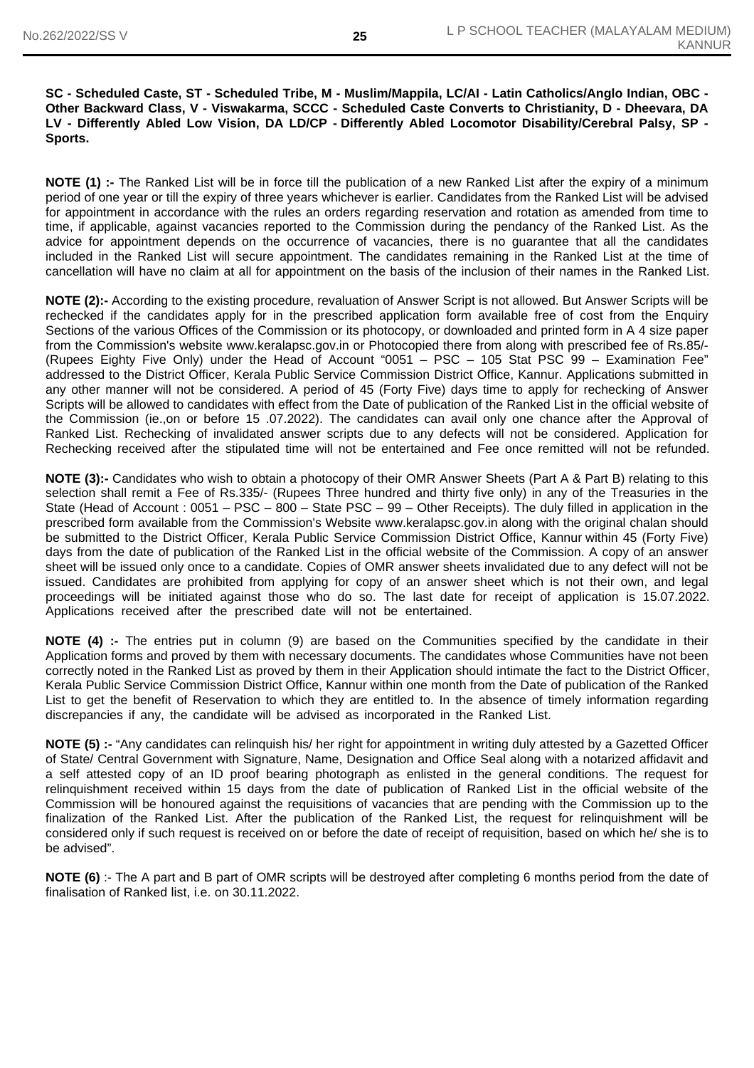#### **SC - Scheduled Caste, ST - Scheduled Tribe, M - Muslim/Mappila, LC/AI - Latin Catholics/Anglo Indian, OBC - Other Backward Class, V - Viswakarma, SCCC - Scheduled Caste Converts to Christianity, D - Dheevara, DA LV - Differently Abled Low Vision, DA LD/CP - Differently Abled Locomotor Disability/Cerebral Palsy, SP - Sports.**

**NOTE (1) :-** The Ranked List will be in force till the publication of a new Ranked List after the expiry of a minimum period of one year or till the expiry of three years whichever is earlier. Candidates from the Ranked List will be advised for appointment in accordance with the rules an orders regarding reservation and rotation as amended from time to time, if applicable, against vacancies reported to the Commission during the pendancy of the Ranked List. As the advice for appointment depends on the occurrence of vacancies, there is no guarantee that all the candidates included in the Ranked List will secure appointment. The candidates remaining in the Ranked List at the time of cancellation will have no claim at all for appointment on the basis of the inclusion of their names in the Ranked List.

**NOTE (2):-** According to the existing procedure, revaluation of Answer Script is not allowed. But Answer Scripts will be rechecked if the candidates apply for in the prescribed application form available free of cost from the Enquiry Sections of the various Offices of the Commission or its photocopy, or downloaded and printed form in A 4 size paper from the Commission's website www.keralapsc.gov.in or Photocopied there from along with prescribed fee of Rs.85/- (Rupees Eighty Five Only) under the Head of Account "0051 – PSC – 105 Stat PSC 99 – Examination Fee" addressed to the District Officer, Kerala Public Service Commission District Office, Kannur. Applications submitted in any other manner will not be considered. A period of 45 (Forty Five) days time to apply for rechecking of Answer Scripts will be allowed to candidates with effect from the Date of publication of the Ranked List in the official website of the Commission (ie.,on or before 15 .07.2022). The candidates can avail only one chance after the Approval of Ranked List. Rechecking of invalidated answer scripts due to any defects will not be considered. Application for Rechecking received after the stipulated time will not be entertained and Fee once remitted will not be refunded.

**NOTE (3):-** Candidates who wish to obtain a photocopy of their OMR Answer Sheets (Part A & Part B) relating to this selection shall remit a Fee of Rs.335/- (Rupees Three hundred and thirty five only) in any of the Treasuries in the State (Head of Account : 0051 – PSC – 800 – State PSC – 99 – Other Receipts). The duly filled in application in the prescribed form available from the Commission's Website www.keralapsc.gov.in along with the original chalan should be submitted to the District Officer, Kerala Public Service Commission District Office, Kannur within 45 (Forty Five) days from the date of publication of the Ranked List in the official website of the Commission. A copy of an answer sheet will be issued only once to a candidate. Copies of OMR answer sheets invalidated due to any defect will not be issued. Candidates are prohibited from applying for copy of an answer sheet which is not their own, and legal proceedings will be initiated against those who do so. The last date for receipt of application is 15.07.2022. Applications received after the prescribed date will not be entertained.

**NOTE (4) :-** The entries put in column (9) are based on the Communities specified by the candidate in their Application forms and proved by them with necessary documents. The candidates whose Communities have not been correctly noted in the Ranked List as proved by them in their Application should intimate the fact to the District Officer, Kerala Public Service Commission District Office, Kannur within one month from the Date of publication of the Ranked List to get the benefit of Reservation to which they are entitled to. In the absence of timely information regarding discrepancies if any, the candidate will be advised as incorporated in the Ranked List.

**NOTE (5) :-** "Any candidates can relinquish his/ her right for appointment in writing duly attested by a Gazetted Officer of State/ Central Government with Signature, Name, Designation and Office Seal along with a notarized affidavit and a self attested copy of an ID proof bearing photograph as enlisted in the general conditions. The request for relinquishment received within 15 days from the date of publication of Ranked List in the official website of the Commission will be honoured against the requisitions of vacancies that are pending with the Commission up to the finalization of the Ranked List. After the publication of the Ranked List, the request for relinquishment will be considered only if such request is received on or before the date of receipt of requisition, based on which he/ she is to be advised".

**NOTE (6)** :- The A part and B part of OMR scripts will be destroyed after completing 6 months period from the date of finalisation of Ranked list, i.e. on 30.11.2022.